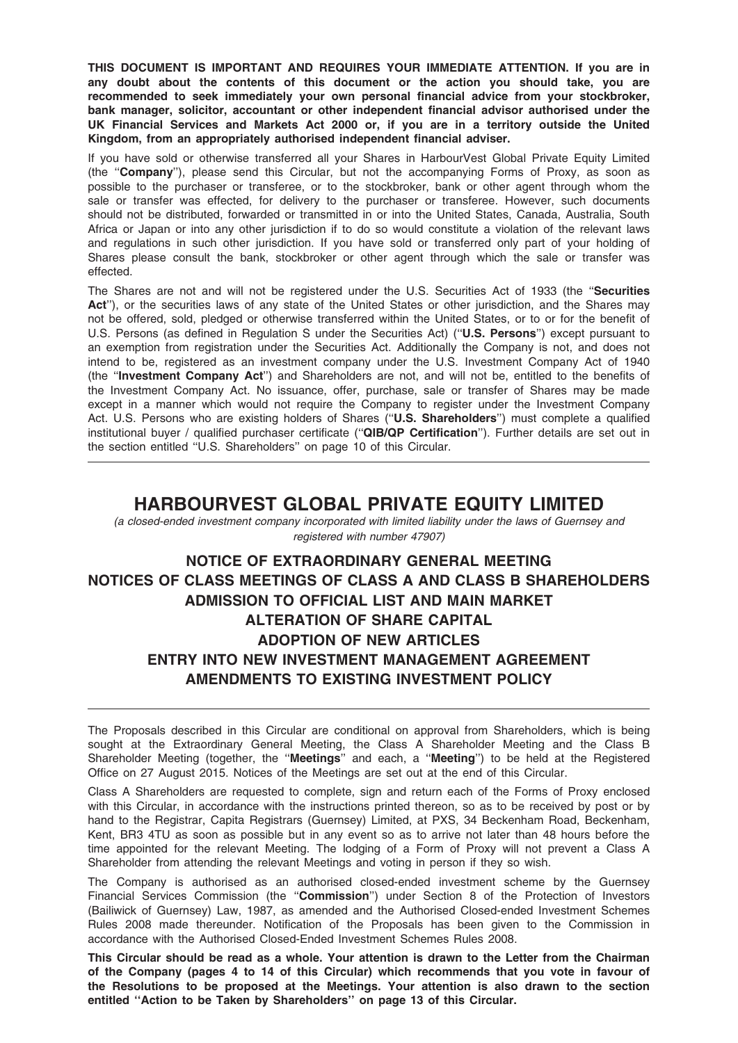THIS DOCUMENT IS IMPORTANT AND REQUIRES YOUR IMMEDIATE ATTENTION. If you are in any doubt about the contents of this document or the action you should take, you are recommended to seek immediately your own personal financial advice from your stockbroker, bank manager, solicitor, accountant or other independent financial advisor authorised under the UK Financial Services and Markets Act 2000 or, if you are in a territory outside the United Kingdom, from an appropriately authorised independent financial adviser.

If you have sold or otherwise transferred all your Shares in HarbourVest Global Private Equity Limited (the ''Company''), please send this Circular, but not the accompanying Forms of Proxy, as soon as possible to the purchaser or transferee, or to the stockbroker, bank or other agent through whom the sale or transfer was effected, for delivery to the purchaser or transferee. However, such documents should not be distributed, forwarded or transmitted in or into the United States, Canada, Australia, South Africa or Japan or into any other jurisdiction if to do so would constitute a violation of the relevant laws and regulations in such other jurisdiction. If you have sold or transferred only part of your holding of Shares please consult the bank, stockbroker or other agent through which the sale or transfer was effected.

The Shares are not and will not be registered under the U.S. Securities Act of 1933 (the "Securities Act"), or the securities laws of any state of the United States or other jurisdiction, and the Shares may not be offered, sold, pledged or otherwise transferred within the United States, or to or for the benefit of U.S. Persons (as defined in Regulation S under the Securities Act) (''U.S. Persons'') except pursuant to an exemption from registration under the Securities Act. Additionally the Company is not, and does not intend to be, registered as an investment company under the U.S. Investment Company Act of 1940 (the ''Investment Company Act'') and Shareholders are not, and will not be, entitled to the benefits of the Investment Company Act. No issuance, offer, purchase, sale or transfer of Shares may be made except in a manner which would not require the Company to register under the Investment Company Act. U.S. Persons who are existing holders of Shares ("U.S. Shareholders") must complete a qualified institutional buyer / qualified purchaser certificate ("QIB/QP Certification"). Further details are set out in the section entitled ''U.S. Shareholders'' on page 10 of this Circular.

## HARBOURVEST GLOBAL PRIVATE EQUITY LIMITED

(a closed-ended investment company incorporated with limited liability under the laws of Guernsey and registered with number 47907)

# NOTICE OF EXTRAORDINARY GENERAL MEETING NOTICES OF CLASS MEETINGS OF CLASS A AND CLASS B SHAREHOLDERS ADMISSION TO OFFICIAL LIST AND MAIN MARKET ALTERATION OF SHARE CAPITAL ADOPTION OF NEW ARTICLES ENTRY INTO NEW INVESTMENT MANAGEMENT AGREEMENT AMENDMENTS TO EXISTING INVESTMENT POLICY

The Proposals described in this Circular are conditional on approval from Shareholders, which is being sought at the Extraordinary General Meeting, the Class A Shareholder Meeting and the Class B Shareholder Meeting (together, the "**Meetings**" and each, a "**Meeting**") to be held at the Registered Office on 27 August 2015. Notices of the Meetings are set out at the end of this Circular.

Class A Shareholders are requested to complete, sign and return each of the Forms of Proxy enclosed with this Circular, in accordance with the instructions printed thereon, so as to be received by post or by hand to the Registrar, Capita Registrars (Guernsey) Limited, at PXS, 34 Beckenham Road, Beckenham, Kent, BR3 4TU as soon as possible but in any event so as to arrive not later than 48 hours before the time appointed for the relevant Meeting. The lodging of a Form of Proxy will not prevent a Class A Shareholder from attending the relevant Meetings and voting in person if they so wish.

The Company is authorised as an authorised closed-ended investment scheme by the Guernsey Financial Services Commission (the "Commission") under Section 8 of the Protection of Investors (Bailiwick of Guernsey) Law, 1987, as amended and the Authorised Closed-ended Investment Schemes Rules 2008 made thereunder. Notification of the Proposals has been given to the Commission in accordance with the Authorised Closed-Ended Investment Schemes Rules 2008.

This Circular should be read as a whole. Your attention is drawn to the Letter from the Chairman of the Company (pages 4 to 14 of this Circular) which recommends that you vote in favour of the Resolutions to be proposed at the Meetings. Your attention is also drawn to the section entitled ''Action to be Taken by Shareholders'' on page 13 of this Circular.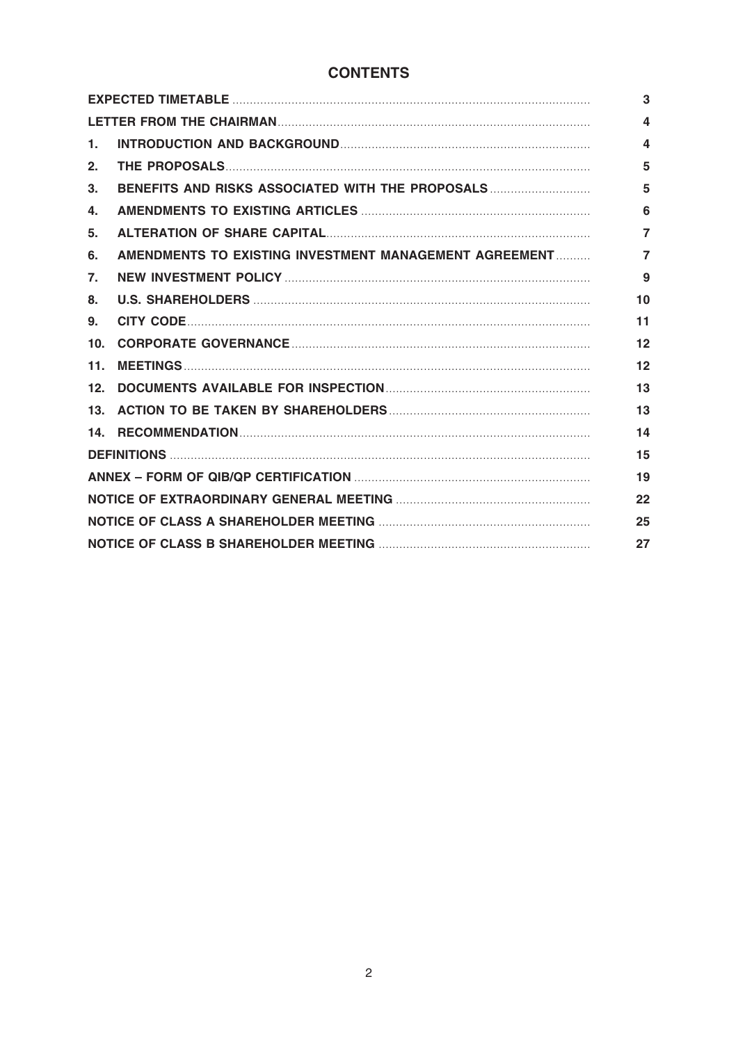### **CONTENTS**

| 1.             |                                                        | 4              |  |
|----------------|--------------------------------------------------------|----------------|--|
| 2.             |                                                        | 5              |  |
| 3.             | BENEFITS AND RISKS ASSOCIATED WITH THE PROPOSALS       | 5              |  |
| 4.             |                                                        | 6              |  |
| 5.             |                                                        | $\overline{7}$ |  |
| 6.             | AMENDMENTS TO EXISTING INVESTMENT MANAGEMENT AGREEMENT | $\overline{7}$ |  |
| 7 <sub>1</sub> |                                                        | 9              |  |
| 8.             |                                                        | 10             |  |
| 9.             |                                                        | 11             |  |
| 10.            |                                                        | 12             |  |
| 11.            |                                                        | 12             |  |
| 12.            |                                                        | 13             |  |
|                |                                                        | 13             |  |
|                |                                                        | 14             |  |
|                |                                                        |                |  |
|                |                                                        |                |  |
| 22             |                                                        |                |  |
|                |                                                        |                |  |
| 27             |                                                        |                |  |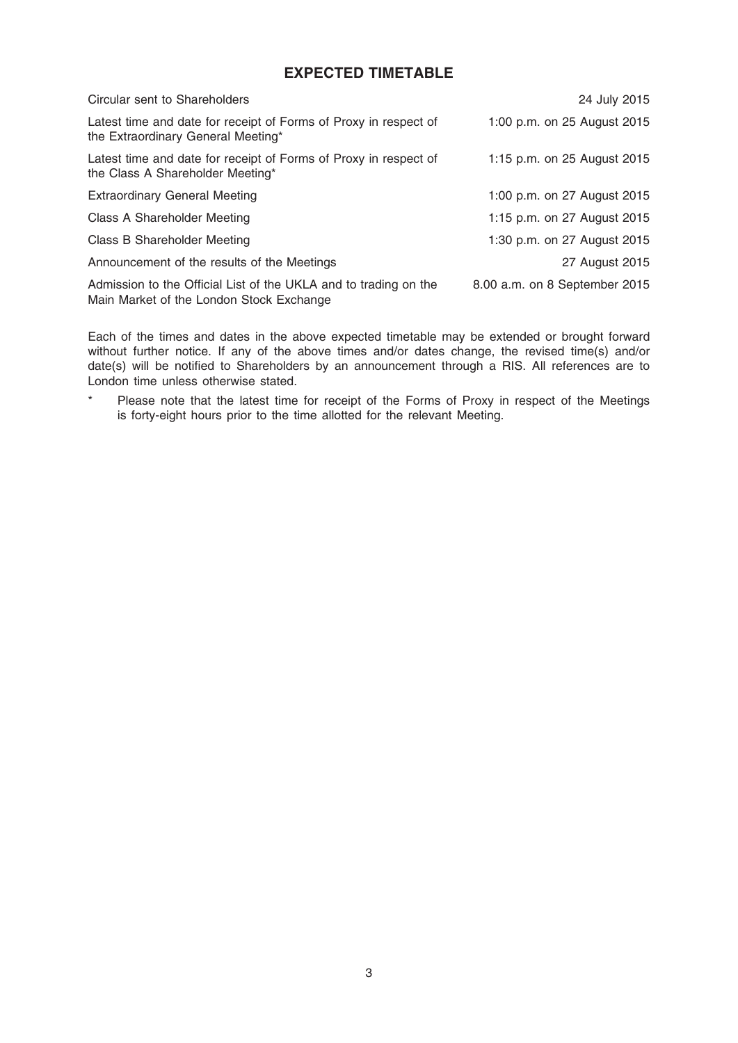## EXPECTED TIMETABLE

| Circular sent to Shareholders                                                                                | 24 July 2015                  |
|--------------------------------------------------------------------------------------------------------------|-------------------------------|
| Latest time and date for receipt of Forms of Proxy in respect of<br>the Extraordinary General Meeting*       | 1:00 p.m. on 25 August 2015   |
| Latest time and date for receipt of Forms of Proxy in respect of<br>the Class A Shareholder Meeting*         | 1:15 p.m. on 25 August 2015   |
| <b>Extraordinary General Meeting</b>                                                                         | 1:00 p.m. on 27 August 2015   |
| Class A Shareholder Meeting                                                                                  | 1:15 p.m. on 27 August 2015   |
| Class B Shareholder Meeting                                                                                  | 1:30 p.m. on 27 August 2015   |
| Announcement of the results of the Meetings                                                                  | 27 August 2015                |
| Admission to the Official List of the UKLA and to trading on the<br>Main Market of the London Stock Exchange | 8.00 a.m. on 8 September 2015 |

Each of the times and dates in the above expected timetable may be extended or brought forward without further notice. If any of the above times and/or dates change, the revised time(s) and/or date(s) will be notified to Shareholders by an announcement through a RIS. All references are to London time unless otherwise stated.

\* Please note that the latest time for receipt of the Forms of Proxy in respect of the Meetings is forty-eight hours prior to the time allotted for the relevant Meeting.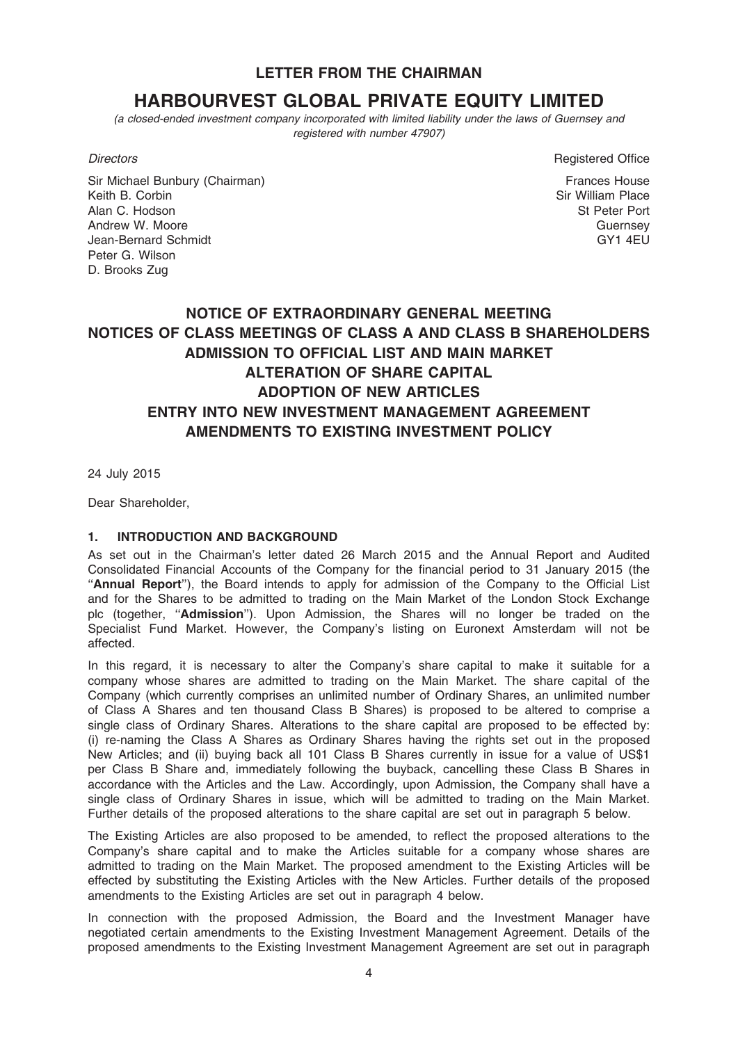LETTER FROM THE CHAIRMAN

# HARBOURVEST GLOBAL PRIVATE EQUITY LIMITED

(a closed-ended investment company incorporated with limited liability under the laws of Guernsey and registered with number 47907)

Sir Michael Bunbury (Chairman) Keith B. Corbin Alan C. Hodson Andrew W. Moore Jean-Bernard Schmidt Peter G. Wilson D. Brooks Zug

**Directors** Registered Office

Frances House Sir William Place St Peter Port Guernsey GY1 4EU

# NOTICE OF EXTRAORDINARY GENERAL MEETING NOTICES OF CLASS MEETINGS OF CLASS A AND CLASS B SHAREHOLDERS ADMISSION TO OFFICIAL LIST AND MAIN MARKET ALTERATION OF SHARE CAPITAL ADOPTION OF NEW ARTICLES ENTRY INTO NEW INVESTMENT MANAGEMENT AGREEMENT AMENDMENTS TO EXISTING INVESTMENT POLICY

24 July 2015

Dear Shareholder,

### 1. INTRODUCTION AND BACKGROUND

As set out in the Chairman's letter dated 26 March 2015 and the Annual Report and Audited Consolidated Financial Accounts of the Company for the financial period to 31 January 2015 (the ''Annual Report''), the Board intends to apply for admission of the Company to the Official List and for the Shares to be admitted to trading on the Main Market of the London Stock Exchange plc (together, "Admission"). Upon Admission, the Shares will no longer be traded on the Specialist Fund Market. However, the Company's listing on Euronext Amsterdam will not be affected.

In this regard, it is necessary to alter the Company's share capital to make it suitable for a company whose shares are admitted to trading on the Main Market. The share capital of the Company (which currently comprises an unlimited number of Ordinary Shares, an unlimited number of Class A Shares and ten thousand Class B Shares) is proposed to be altered to comprise a single class of Ordinary Shares. Alterations to the share capital are proposed to be effected by: (i) re-naming the Class A Shares as Ordinary Shares having the rights set out in the proposed New Articles; and (ii) buying back all 101 Class B Shares currently in issue for a value of US\$1 per Class B Share and, immediately following the buyback, cancelling these Class B Shares in accordance with the Articles and the Law. Accordingly, upon Admission, the Company shall have a single class of Ordinary Shares in issue, which will be admitted to trading on the Main Market. Further details of the proposed alterations to the share capital are set out in paragraph 5 below.

The Existing Articles are also proposed to be amended, to reflect the proposed alterations to the Company's share capital and to make the Articles suitable for a company whose shares are admitted to trading on the Main Market. The proposed amendment to the Existing Articles will be effected by substituting the Existing Articles with the New Articles. Further details of the proposed amendments to the Existing Articles are set out in paragraph 4 below.

In connection with the proposed Admission, the Board and the Investment Manager have negotiated certain amendments to the Existing Investment Management Agreement. Details of the proposed amendments to the Existing Investment Management Agreement are set out in paragraph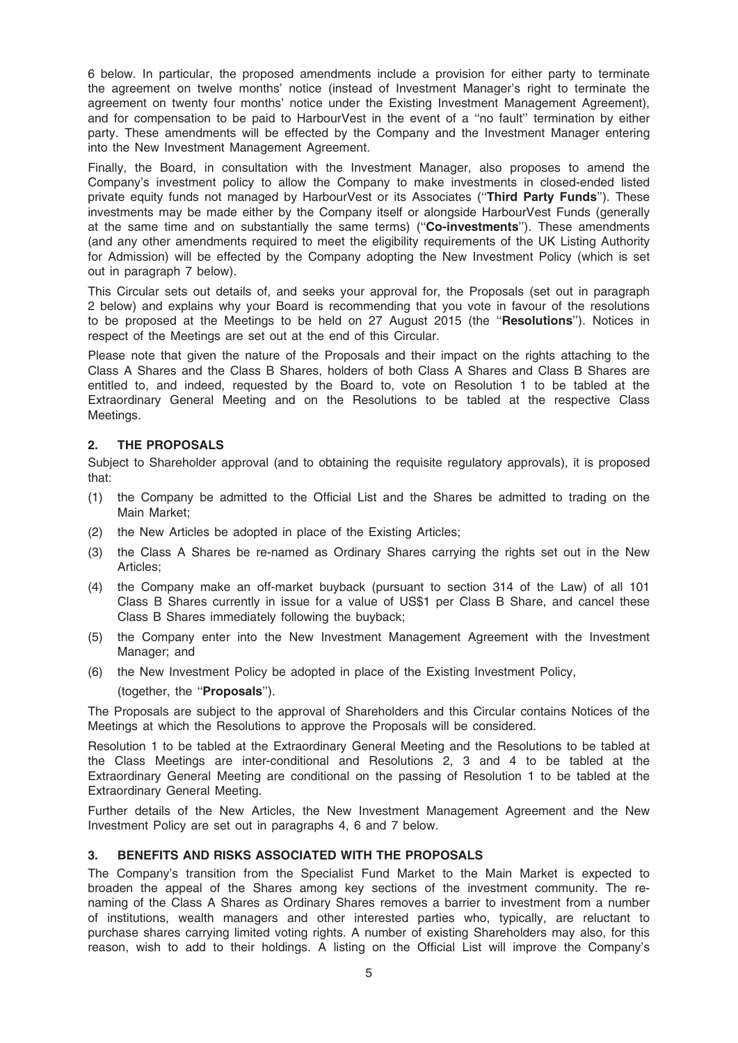6 below. In particular, the proposed amendments include a provision for either party to terminate the agreement on twelve months' notice (instead of Investment Manager's right to terminate the agreement on twenty four months' notice under the Existing Investment Management Agreement), and for compensation to be paid to HarbourVest in the event of a ''no fault'' termination by either party. These amendments will be effected by the Company and the Investment Manager entering into the New Investment Management Agreement.

Finally, the Board, in consultation with the Investment Manager, also proposes to amend the Company's investment policy to allow the Company to make investments in closed-ended listed private equity funds not managed by HarbourVest or its Associates ("Third Party Funds"). These investments may be made either by the Company itself or alongside HarbourVest Funds (generally at the same time and on substantially the same terms) ("Co-investments"). These amendments (and any other amendments required to meet the eligibility requirements of the UK Listing Authority for Admission) will be effected by the Company adopting the New Investment Policy (which is set out in paragraph 7 below).

This Circular sets out details of, and seeks your approval for, the Proposals (set out in paragraph 2 below) and explains why your Board is recommending that you vote in favour of the resolutions to be proposed at the Meetings to be held on 27 August 2015 (the ''Resolutions''). Notices in respect of the Meetings are set out at the end of this Circular.

Please note that given the nature of the Proposals and their impact on the rights attaching to the Class A Shares and the Class B Shares, holders of both Class A Shares and Class B Shares are entitled to, and indeed, requested by the Board to, vote on Resolution 1 to be tabled at the Extraordinary General Meeting and on the Resolutions to be tabled at the respective Class Meetings.

### 2. THE PROPOSALS

Subject to Shareholder approval (and to obtaining the requisite regulatory approvals), it is proposed that:

- (1) the Company be admitted to the Official List and the Shares be admitted to trading on the Main Market;
- (2) the New Articles be adopted in place of the Existing Articles;
- (3) the Class A Shares be re-named as Ordinary Shares carrying the rights set out in the New Articles;
- (4) the Company make an off-market buyback (pursuant to section 314 of the Law) of all 101 Class B Shares currently in issue for a value of US\$1 per Class B Share, and cancel these Class B Shares immediately following the buyback;
- (5) the Company enter into the New Investment Management Agreement with the Investment Manager; and
- (6) the New Investment Policy be adopted in place of the Existing Investment Policy,
	- (together, the ''Proposals'').

The Proposals are subject to the approval of Shareholders and this Circular contains Notices of the Meetings at which the Resolutions to approve the Proposals will be considered.

Resolution 1 to be tabled at the Extraordinary General Meeting and the Resolutions to be tabled at the Class Meetings are inter-conditional and Resolutions 2, 3 and 4 to be tabled at the Extraordinary General Meeting are conditional on the passing of Resolution 1 to be tabled at the Extraordinary General Meeting.

Further details of the New Articles, the New Investment Management Agreement and the New Investment Policy are set out in paragraphs 4, 6 and 7 below.

### 3. BENEFITS AND RISKS ASSOCIATED WITH THE PROPOSALS

The Company's transition from the Specialist Fund Market to the Main Market is expected to broaden the appeal of the Shares among key sections of the investment community. The renaming of the Class A Shares as Ordinary Shares removes a barrier to investment from a number of institutions, wealth managers and other interested parties who, typically, are reluctant to purchase shares carrying limited voting rights. A number of existing Shareholders may also, for this reason, wish to add to their holdings. A listing on the Official List will improve the Company's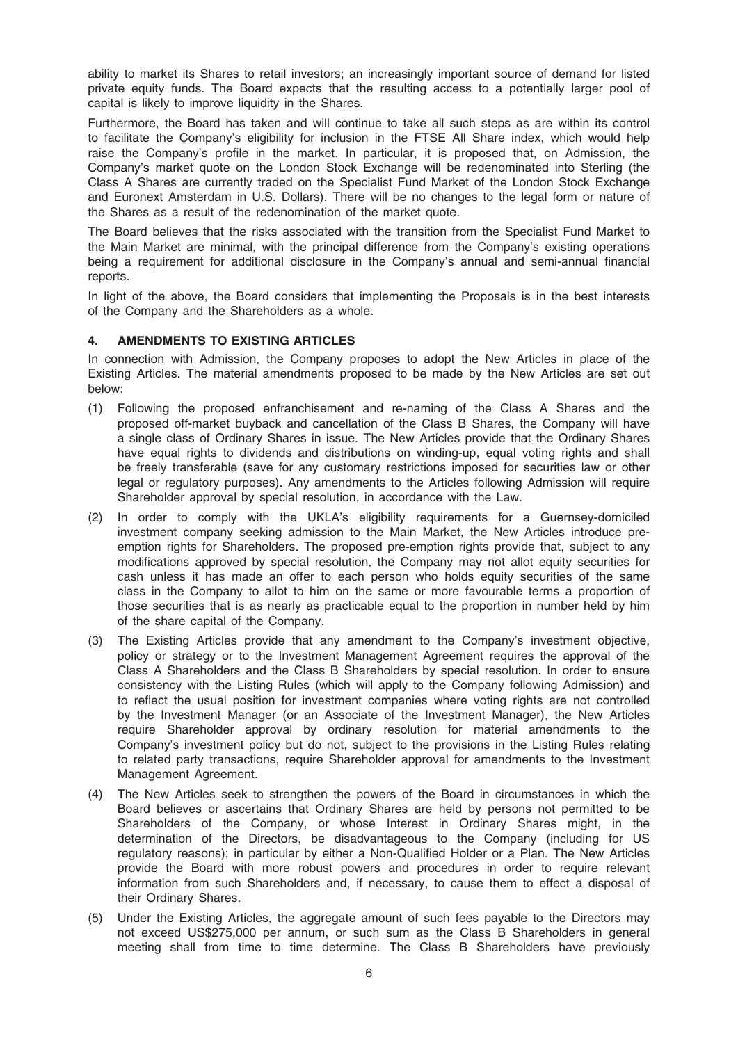ability to market its Shares to retail investors; an increasingly important source of demand for listed private equity funds. The Board expects that the resulting access to a potentially larger pool of capital is likely to improve liquidity in the Shares.

Furthermore, the Board has taken and will continue to take all such steps as are within its control to facilitate the Company's eligibility for inclusion in the FTSE All Share index, which would help raise the Company's profile in the market. In particular, it is proposed that, on Admission, the Company's market quote on the London Stock Exchange will be redenominated into Sterling (the Class A Shares are currently traded on the Specialist Fund Market of the London Stock Exchange and Euronext Amsterdam in U.S. Dollars). There will be no changes to the legal form or nature of the Shares as a result of the redenomination of the market quote.

The Board believes that the risks associated with the transition from the Specialist Fund Market to the Main Market are minimal, with the principal difference from the Company's existing operations being a requirement for additional disclosure in the Company's annual and semi-annual financial reports.

In light of the above, the Board considers that implementing the Proposals is in the best interests of the Company and the Shareholders as a whole.

### 4. AMENDMENTS TO EXISTING ARTICLES

In connection with Admission, the Company proposes to adopt the New Articles in place of the Existing Articles. The material amendments proposed to be made by the New Articles are set out below:

- (1) Following the proposed enfranchisement and re-naming of the Class A Shares and the proposed off-market buyback and cancellation of the Class B Shares, the Company will have a single class of Ordinary Shares in issue. The New Articles provide that the Ordinary Shares have equal rights to dividends and distributions on winding-up, equal voting rights and shall be freely transferable (save for any customary restrictions imposed for securities law or other legal or regulatory purposes). Any amendments to the Articles following Admission will require Shareholder approval by special resolution, in accordance with the Law.
- (2) In order to comply with the UKLA's eligibility requirements for a Guernsey-domiciled investment company seeking admission to the Main Market, the New Articles introduce preemption rights for Shareholders. The proposed pre-emption rights provide that, subject to any modifications approved by special resolution, the Company may not allot equity securities for cash unless it has made an offer to each person who holds equity securities of the same class in the Company to allot to him on the same or more favourable terms a proportion of those securities that is as nearly as practicable equal to the proportion in number held by him of the share capital of the Company.
- (3) The Existing Articles provide that any amendment to the Company's investment objective, policy or strategy or to the Investment Management Agreement requires the approval of the Class A Shareholders and the Class B Shareholders by special resolution. In order to ensure consistency with the Listing Rules (which will apply to the Company following Admission) and to reflect the usual position for investment companies where voting rights are not controlled by the Investment Manager (or an Associate of the Investment Manager), the New Articles require Shareholder approval by ordinary resolution for material amendments to the Company's investment policy but do not, subject to the provisions in the Listing Rules relating to related party transactions, require Shareholder approval for amendments to the Investment Management Agreement.
- (4) The New Articles seek to strengthen the powers of the Board in circumstances in which the Board believes or ascertains that Ordinary Shares are held by persons not permitted to be Shareholders of the Company, or whose Interest in Ordinary Shares might, in the determination of the Directors, be disadvantageous to the Company (including for US regulatory reasons); in particular by either a Non-Qualified Holder or a Plan. The New Articles provide the Board with more robust powers and procedures in order to require relevant information from such Shareholders and, if necessary, to cause them to effect a disposal of their Ordinary Shares.
- (5) Under the Existing Articles, the aggregate amount of such fees payable to the Directors may not exceed US\$275,000 per annum, or such sum as the Class B Shareholders in general meeting shall from time to time determine. The Class B Shareholders have previously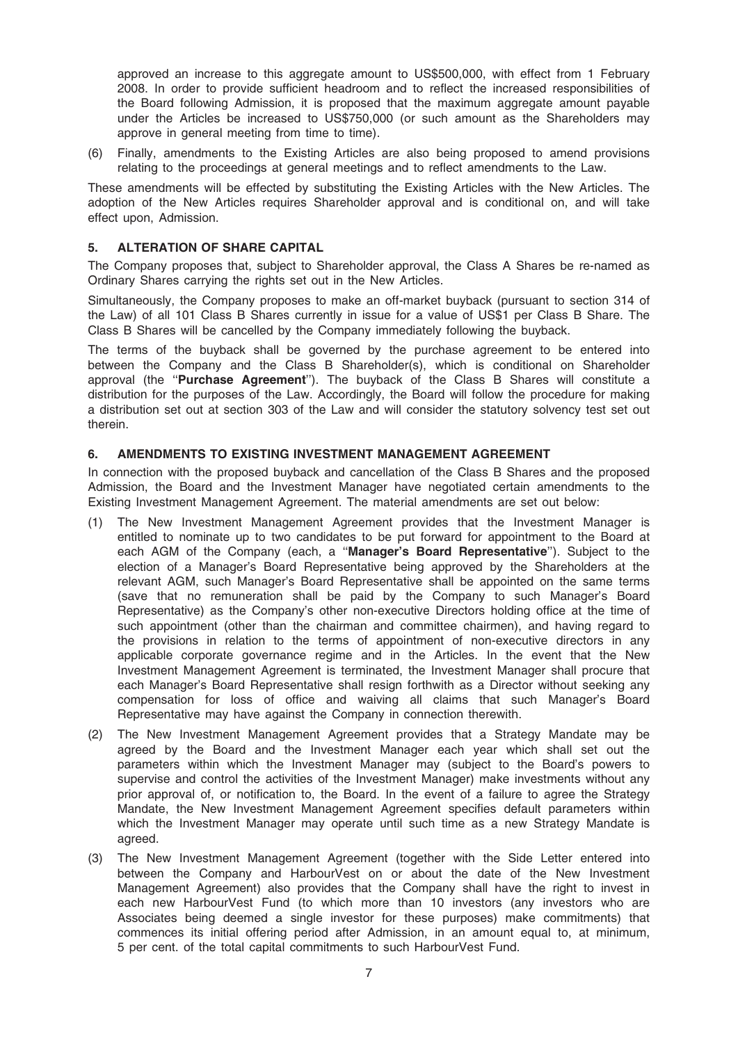approved an increase to this aggregate amount to US\$500,000, with effect from 1 February 2008. In order to provide sufficient headroom and to reflect the increased responsibilities of the Board following Admission, it is proposed that the maximum aggregate amount payable under the Articles be increased to US\$750,000 (or such amount as the Shareholders may approve in general meeting from time to time).

(6) Finally, amendments to the Existing Articles are also being proposed to amend provisions relating to the proceedings at general meetings and to reflect amendments to the Law.

These amendments will be effected by substituting the Existing Articles with the New Articles. The adoption of the New Articles requires Shareholder approval and is conditional on, and will take effect upon, Admission.

### 5. ALTERATION OF SHARE CAPITAL

The Company proposes that, subject to Shareholder approval, the Class A Shares be re-named as Ordinary Shares carrying the rights set out in the New Articles.

Simultaneously, the Company proposes to make an off-market buyback (pursuant to section 314 of the Law) of all 101 Class B Shares currently in issue for a value of US\$1 per Class B Share. The Class B Shares will be cancelled by the Company immediately following the buyback.

The terms of the buyback shall be governed by the purchase agreement to be entered into between the Company and the Class B Shareholder(s), which is conditional on Shareholder approval (the "Purchase Agreement"). The buyback of the Class B Shares will constitute a distribution for the purposes of the Law. Accordingly, the Board will follow the procedure for making a distribution set out at section 303 of the Law and will consider the statutory solvency test set out therein.

### 6. AMENDMENTS TO EXISTING INVESTMENT MANAGEMENT AGREEMENT

In connection with the proposed buyback and cancellation of the Class B Shares and the proposed Admission, the Board and the Investment Manager have negotiated certain amendments to the Existing Investment Management Agreement. The material amendments are set out below:

- (1) The New Investment Management Agreement provides that the Investment Manager is entitled to nominate up to two candidates to be put forward for appointment to the Board at each AGM of the Company (each, a "Manager's Board Representative"). Subject to the election of a Manager's Board Representative being approved by the Shareholders at the relevant AGM, such Manager's Board Representative shall be appointed on the same terms (save that no remuneration shall be paid by the Company to such Manager's Board Representative) as the Company's other non-executive Directors holding office at the time of such appointment (other than the chairman and committee chairmen), and having regard to the provisions in relation to the terms of appointment of non-executive directors in any applicable corporate governance regime and in the Articles. In the event that the New Investment Management Agreement is terminated, the Investment Manager shall procure that each Manager's Board Representative shall resign forthwith as a Director without seeking any compensation for loss of office and waiving all claims that such Manager's Board Representative may have against the Company in connection therewith.
- (2) The New Investment Management Agreement provides that a Strategy Mandate may be agreed by the Board and the Investment Manager each year which shall set out the parameters within which the Investment Manager may (subject to the Board's powers to supervise and control the activities of the Investment Manager) make investments without any prior approval of, or notification to, the Board. In the event of a failure to agree the Strategy Mandate, the New Investment Management Agreement specifies default parameters within which the Investment Manager may operate until such time as a new Strategy Mandate is agreed.
- (3) The New Investment Management Agreement (together with the Side Letter entered into between the Company and HarbourVest on or about the date of the New Investment Management Agreement) also provides that the Company shall have the right to invest in each new HarbourVest Fund (to which more than 10 investors (any investors who are Associates being deemed a single investor for these purposes) make commitments) that commences its initial offering period after Admission, in an amount equal to, at minimum, 5 per cent. of the total capital commitments to such HarbourVest Fund.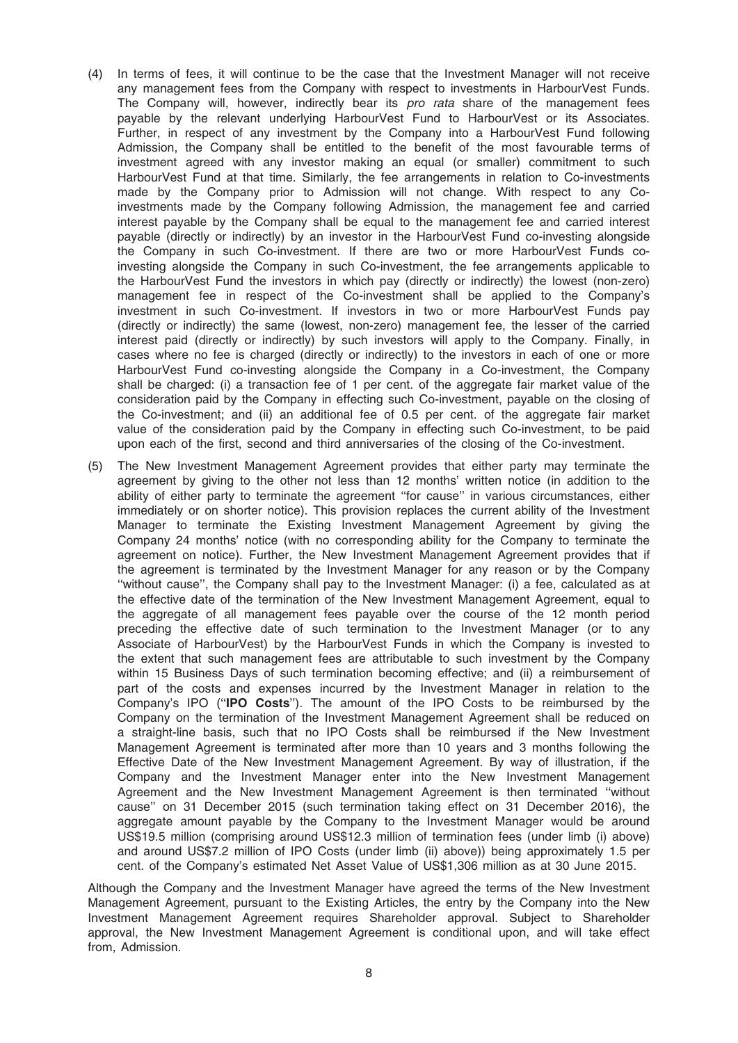- (4) In terms of fees, it will continue to be the case that the Investment Manager will not receive any management fees from the Company with respect to investments in HarbourVest Funds. The Company will, however, indirectly bear its *pro rata* share of the management fees payable by the relevant underlying HarbourVest Fund to HarbourVest or its Associates. Further, in respect of any investment by the Company into a HarbourVest Fund following Admission, the Company shall be entitled to the benefit of the most favourable terms of investment agreed with any investor making an equal (or smaller) commitment to such HarbourVest Fund at that time. Similarly, the fee arrangements in relation to Co-investments made by the Company prior to Admission will not change. With respect to any Coinvestments made by the Company following Admission, the management fee and carried interest payable by the Company shall be equal to the management fee and carried interest payable (directly or indirectly) by an investor in the HarbourVest Fund co-investing alongside the Company in such Co-investment. If there are two or more HarbourVest Funds coinvesting alongside the Company in such Co-investment, the fee arrangements applicable to the HarbourVest Fund the investors in which pay (directly or indirectly) the lowest (non-zero) management fee in respect of the Co-investment shall be applied to the Company's investment in such Co-investment. If investors in two or more HarbourVest Funds pay (directly or indirectly) the same (lowest, non-zero) management fee, the lesser of the carried interest paid (directly or indirectly) by such investors will apply to the Company. Finally, in cases where no fee is charged (directly or indirectly) to the investors in each of one or more HarbourVest Fund co-investing alongside the Company in a Co-investment, the Company shall be charged: (i) a transaction fee of 1 per cent. of the aggregate fair market value of the consideration paid by the Company in effecting such Co-investment, payable on the closing of the Co-investment; and (ii) an additional fee of 0.5 per cent. of the aggregate fair market value of the consideration paid by the Company in effecting such Co-investment, to be paid upon each of the first, second and third anniversaries of the closing of the Co-investment.
- (5) The New Investment Management Agreement provides that either party may terminate the agreement by giving to the other not less than 12 months' written notice (in addition to the ability of either party to terminate the agreement ''for cause'' in various circumstances, either immediately or on shorter notice). This provision replaces the current ability of the Investment Manager to terminate the Existing Investment Management Agreement by giving the Company 24 months' notice (with no corresponding ability for the Company to terminate the agreement on notice). Further, the New Investment Management Agreement provides that if the agreement is terminated by the Investment Manager for any reason or by the Company ''without cause'', the Company shall pay to the Investment Manager: (i) a fee, calculated as at the effective date of the termination of the New Investment Management Agreement, equal to the aggregate of all management fees payable over the course of the 12 month period preceding the effective date of such termination to the Investment Manager (or to any Associate of HarbourVest) by the HarbourVest Funds in which the Company is invested to the extent that such management fees are attributable to such investment by the Company within 15 Business Days of such termination becoming effective; and (ii) a reimbursement of part of the costs and expenses incurred by the Investment Manager in relation to the Company's IPO (''IPO Costs''). The amount of the IPO Costs to be reimbursed by the Company on the termination of the Investment Management Agreement shall be reduced on a straight-line basis, such that no IPO Costs shall be reimbursed if the New Investment Management Agreement is terminated after more than 10 years and 3 months following the Effective Date of the New Investment Management Agreement. By way of illustration, if the Company and the Investment Manager enter into the New Investment Management Agreement and the New Investment Management Agreement is then terminated ''without cause'' on 31 December 2015 (such termination taking effect on 31 December 2016), the aggregate amount payable by the Company to the Investment Manager would be around US\$19.5 million (comprising around US\$12.3 million of termination fees (under limb (i) above) and around US\$7.2 million of IPO Costs (under limb (ii) above)) being approximately 1.5 per cent. of the Company's estimated Net Asset Value of US\$1,306 million as at 30 June 2015.

Although the Company and the Investment Manager have agreed the terms of the New Investment Management Agreement, pursuant to the Existing Articles, the entry by the Company into the New Investment Management Agreement requires Shareholder approval. Subject to Shareholder approval, the New Investment Management Agreement is conditional upon, and will take effect from, Admission.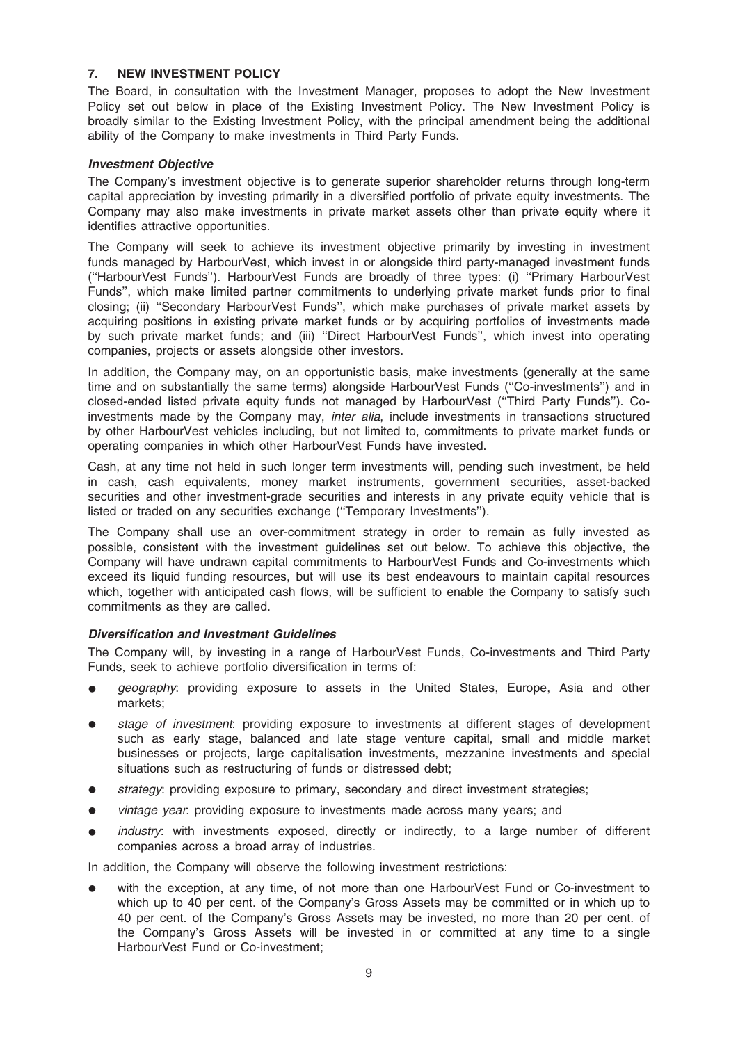### 7. NEW INVESTMENT POLICY

The Board, in consultation with the Investment Manager, proposes to adopt the New Investment Policy set out below in place of the Existing Investment Policy. The New Investment Policy is broadly similar to the Existing Investment Policy, with the principal amendment being the additional ability of the Company to make investments in Third Party Funds.

### Investment Objective

The Company's investment objective is to generate superior shareholder returns through long-term capital appreciation by investing primarily in a diversified portfolio of private equity investments. The Company may also make investments in private market assets other than private equity where it identifies attractive opportunities.

The Company will seek to achieve its investment objective primarily by investing in investment funds managed by HarbourVest, which invest in or alongside third party-managed investment funds (''HarbourVest Funds''). HarbourVest Funds are broadly of three types: (i) ''Primary HarbourVest Funds'', which make limited partner commitments to underlying private market funds prior to final closing; (ii) ''Secondary HarbourVest Funds'', which make purchases of private market assets by acquiring positions in existing private market funds or by acquiring portfolios of investments made by such private market funds; and (iii) ''Direct HarbourVest Funds'', which invest into operating companies, projects or assets alongside other investors.

In addition, the Company may, on an opportunistic basis, make investments (generally at the same time and on substantially the same terms) alongside HarbourVest Funds (''Co-investments'') and in closed-ended listed private equity funds not managed by HarbourVest (''Third Party Funds''). Coinvestments made by the Company may, inter alia, include investments in transactions structured by other HarbourVest vehicles including, but not limited to, commitments to private market funds or operating companies in which other HarbourVest Funds have invested.

Cash, at any time not held in such longer term investments will, pending such investment, be held in cash, cash equivalents, money market instruments, government securities, asset-backed securities and other investment-grade securities and interests in any private equity vehicle that is listed or traded on any securities exchange (''Temporary Investments'').

The Company shall use an over-commitment strategy in order to remain as fully invested as possible, consistent with the investment guidelines set out below. To achieve this objective, the Company will have undrawn capital commitments to HarbourVest Funds and Co-investments which exceed its liquid funding resources, but will use its best endeavours to maintain capital resources which, together with anticipated cash flows, will be sufficient to enable the Company to satisfy such commitments as they are called.

### Diversification and Investment Guidelines

The Company will, by investing in a range of HarbourVest Funds, Co-investments and Third Party Funds, seek to achieve portfolio diversification in terms of:

- geography: providing exposure to assets in the United States, Europe, Asia and other markets;
- stage of investment: providing exposure to investments at different stages of development such as early stage, balanced and late stage venture capital, small and middle market businesses or projects, large capitalisation investments, mezzanine investments and special situations such as restructuring of funds or distressed debt;
- strategy: providing exposure to primary, secondary and direct investment strategies;
- vintage year: providing exposure to investments made across many years; and
- industry: with investments exposed, directly or indirectly, to a large number of different companies across a broad array of industries.

In addition, the Company will observe the following investment restrictions:

with the exception, at any time, of not more than one HarbourVest Fund or Co-investment to which up to 40 per cent. of the Company's Gross Assets may be committed or in which up to 40 per cent. of the Company's Gross Assets may be invested, no more than 20 per cent. of the Company's Gross Assets will be invested in or committed at any time to a single HarbourVest Fund or Co-investment;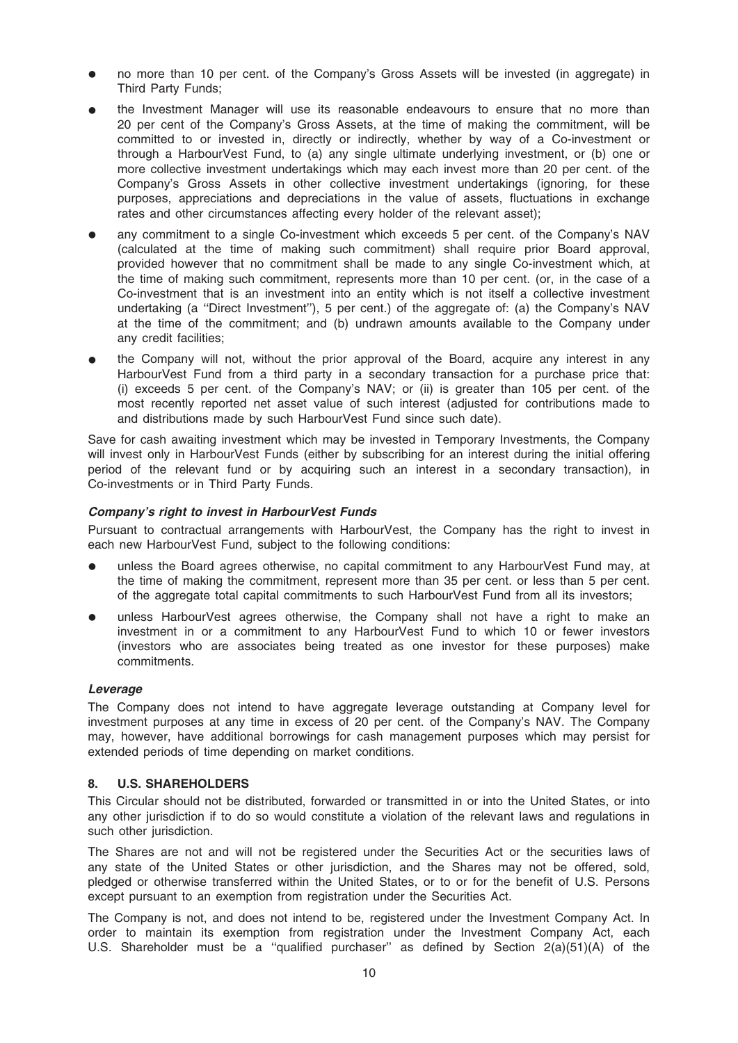- no more than 10 per cent. of the Company's Gross Assets will be invested (in aggregate) in Third Party Funds;
- the Investment Manager will use its reasonable endeavours to ensure that no more than 20 per cent of the Company's Gross Assets, at the time of making the commitment, will be committed to or invested in, directly or indirectly, whether by way of a Co-investment or through a HarbourVest Fund, to (a) any single ultimate underlying investment, or (b) one or more collective investment undertakings which may each invest more than 20 per cent. of the Company's Gross Assets in other collective investment undertakings (ignoring, for these purposes, appreciations and depreciations in the value of assets, fluctuations in exchange rates and other circumstances affecting every holder of the relevant asset);
- any commitment to a single Co-investment which exceeds 5 per cent. of the Company's NAV (calculated at the time of making such commitment) shall require prior Board approval, provided however that no commitment shall be made to any single Co-investment which, at the time of making such commitment, represents more than 10 per cent. (or, in the case of a Co-investment that is an investment into an entity which is not itself a collective investment undertaking (a ''Direct Investment''), 5 per cent.) of the aggregate of: (a) the Company's NAV at the time of the commitment; and (b) undrawn amounts available to the Company under any credit facilities;
- the Company will not, without the prior approval of the Board, acquire any interest in any HarbourVest Fund from a third party in a secondary transaction for a purchase price that: (i) exceeds 5 per cent. of the Company's NAV; or (ii) is greater than 105 per cent. of the most recently reported net asset value of such interest (adjusted for contributions made to and distributions made by such HarbourVest Fund since such date).

Save for cash awaiting investment which may be invested in Temporary Investments, the Company will invest only in HarbourVest Funds (either by subscribing for an interest during the initial offering period of the relevant fund or by acquiring such an interest in a secondary transaction), in Co-investments or in Third Party Funds.

### Company's right to invest in HarbourVest Funds

Pursuant to contractual arrangements with HarbourVest, the Company has the right to invest in each new HarbourVest Fund, subject to the following conditions:

- unless the Board agrees otherwise, no capital commitment to any HarbourVest Fund may, at the time of making the commitment, represent more than 35 per cent. or less than 5 per cent. of the aggregate total capital commitments to such HarbourVest Fund from all its investors;
- unless HarbourVest agrees otherwise, the Company shall not have a right to make an investment in or a commitment to any HarbourVest Fund to which 10 or fewer investors (investors who are associates being treated as one investor for these purposes) make commitments.

### Leverage

The Company does not intend to have aggregate leverage outstanding at Company level for investment purposes at any time in excess of 20 per cent. of the Company's NAV. The Company may, however, have additional borrowings for cash management purposes which may persist for extended periods of time depending on market conditions.

### 8. U.S. SHAREHOLDERS

This Circular should not be distributed, forwarded or transmitted in or into the United States, or into any other jurisdiction if to do so would constitute a violation of the relevant laws and regulations in such other jurisdiction.

The Shares are not and will not be registered under the Securities Act or the securities laws of any state of the United States or other jurisdiction, and the Shares may not be offered, sold, pledged or otherwise transferred within the United States, or to or for the benefit of U.S. Persons except pursuant to an exemption from registration under the Securities Act.

The Company is not, and does not intend to be, registered under the Investment Company Act. In order to maintain its exemption from registration under the Investment Company Act, each U.S. Shareholder must be a ''qualified purchaser'' as defined by Section 2(a)(51)(A) of the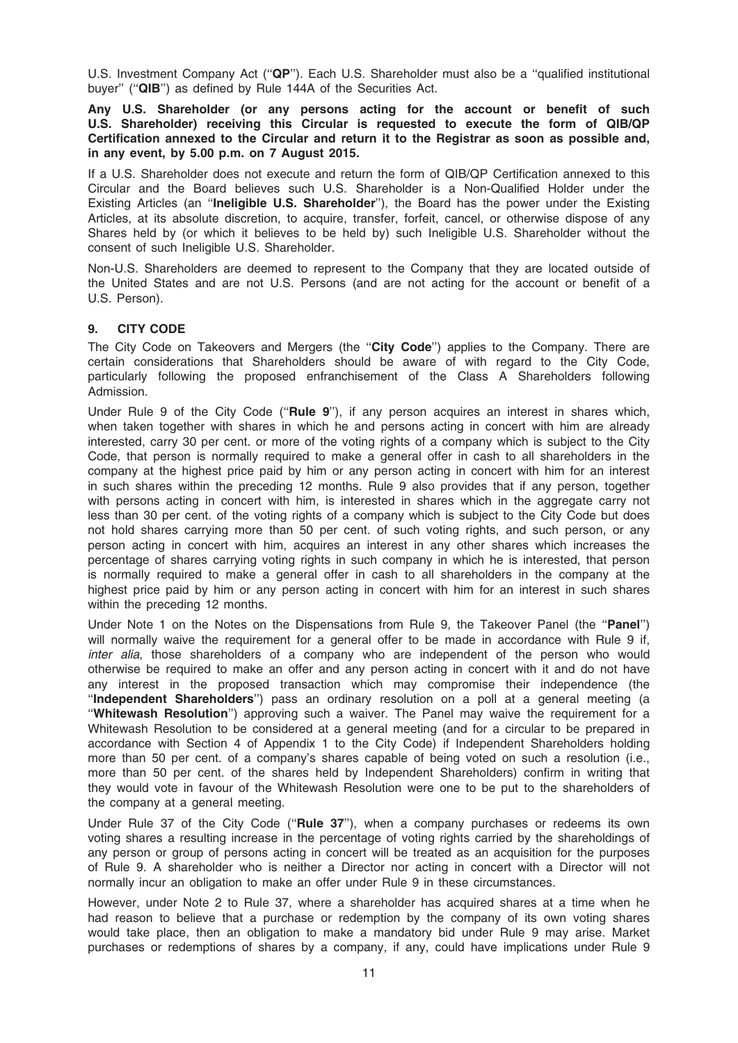U.S. Investment Company Act (''QP''). Each U.S. Shareholder must also be a ''qualified institutional buyer" ("QIB") as defined by Rule 144A of the Securities Act.

Any U.S. Shareholder (or any persons acting for the account or benefit of such U.S. Shareholder) receiving this Circular is requested to execute the form of QIB/QP Certification annexed to the Circular and return it to the Registrar as soon as possible and, in any event, by 5.00 p.m. on 7 August 2015.

If a U.S. Shareholder does not execute and return the form of QIB/QP Certification annexed to this Circular and the Board believes such U.S. Shareholder is a Non-Qualified Holder under the Existing Articles (an "Ineligible U.S. Shareholder"), the Board has the power under the Existing Articles, at its absolute discretion, to acquire, transfer, forfeit, cancel, or otherwise dispose of any Shares held by (or which it believes to be held by) such Ineligible U.S. Shareholder without the consent of such Ineligible U.S. Shareholder.

Non-U.S. Shareholders are deemed to represent to the Company that they are located outside of the United States and are not U.S. Persons (and are not acting for the account or benefit of a U.S. Person).

### 9. CITY CODE

The City Code on Takeovers and Mergers (the "City Code") applies to the Company. There are certain considerations that Shareholders should be aware of with regard to the City Code, particularly following the proposed enfranchisement of the Class A Shareholders following Admission.

Under Rule 9 of the City Code ("Rule 9"), if any person acquires an interest in shares which, when taken together with shares in which he and persons acting in concert with him are already interested, carry 30 per cent. or more of the voting rights of a company which is subject to the City Code, that person is normally required to make a general offer in cash to all shareholders in the company at the highest price paid by him or any person acting in concert with him for an interest in such shares within the preceding 12 months. Rule 9 also provides that if any person, together with persons acting in concert with him, is interested in shares which in the aggregate carry not less than 30 per cent. of the voting rights of a company which is subject to the City Code but does not hold shares carrying more than 50 per cent. of such voting rights, and such person, or any person acting in concert with him, acquires an interest in any other shares which increases the percentage of shares carrying voting rights in such company in which he is interested, that person is normally required to make a general offer in cash to all shareholders in the company at the highest price paid by him or any person acting in concert with him for an interest in such shares within the preceding 12 months.

Under Note 1 on the Notes on the Dispensations from Rule 9, the Takeover Panel (the "Panel") will normally waive the requirement for a general offer to be made in accordance with Rule 9 if. inter alia, those shareholders of a company who are independent of the person who would otherwise be required to make an offer and any person acting in concert with it and do not have any interest in the proposed transaction which may compromise their independence (the ''Independent Shareholders'') pass an ordinary resolution on a poll at a general meeting (a ''Whitewash Resolution'') approving such a waiver. The Panel may waive the requirement for a Whitewash Resolution to be considered at a general meeting (and for a circular to be prepared in accordance with Section 4 of Appendix 1 to the City Code) if Independent Shareholders holding more than 50 per cent. of a company's shares capable of being voted on such a resolution (i.e., more than 50 per cent. of the shares held by Independent Shareholders) confirm in writing that they would vote in favour of the Whitewash Resolution were one to be put to the shareholders of the company at a general meeting.

Under Rule 37 of the City Code ("Rule 37"), when a company purchases or redeems its own voting shares a resulting increase in the percentage of voting rights carried by the shareholdings of any person or group of persons acting in concert will be treated as an acquisition for the purposes of Rule 9. A shareholder who is neither a Director nor acting in concert with a Director will not normally incur an obligation to make an offer under Rule 9 in these circumstances.

However, under Note 2 to Rule 37, where a shareholder has acquired shares at a time when he had reason to believe that a purchase or redemption by the company of its own voting shares would take place, then an obligation to make a mandatory bid under Rule 9 may arise. Market purchases or redemptions of shares by a company, if any, could have implications under Rule 9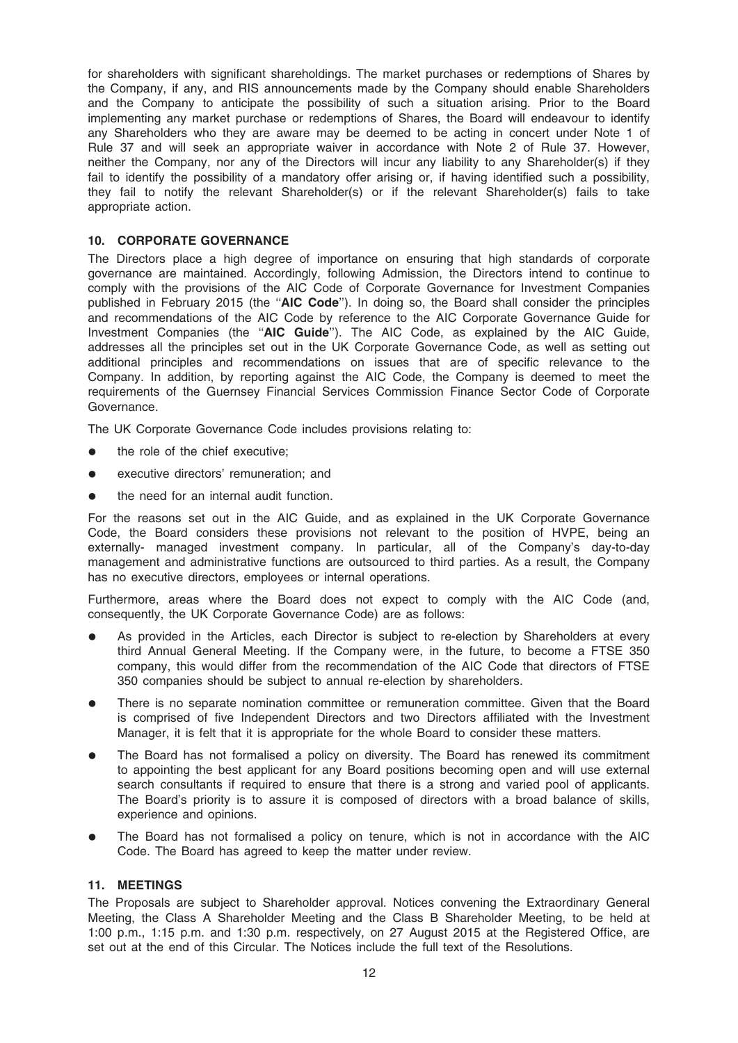for shareholders with significant shareholdings. The market purchases or redemptions of Shares by the Company, if any, and RIS announcements made by the Company should enable Shareholders and the Company to anticipate the possibility of such a situation arising. Prior to the Board implementing any market purchase or redemptions of Shares, the Board will endeavour to identify any Shareholders who they are aware may be deemed to be acting in concert under Note 1 of Rule 37 and will seek an appropriate waiver in accordance with Note 2 of Rule 37. However, neither the Company, nor any of the Directors will incur any liability to any Shareholder(s) if they fail to identify the possibility of a mandatory offer arising or, if having identified such a possibility, they fail to notify the relevant Shareholder(s) or if the relevant Shareholder(s) fails to take appropriate action.

### 10. CORPORATE GOVERNANCE

The Directors place a high degree of importance on ensuring that high standards of corporate governance are maintained. Accordingly, following Admission, the Directors intend to continue to comply with the provisions of the AIC Code of Corporate Governance for Investment Companies published in February 2015 (the "AIC Code"). In doing so, the Board shall consider the principles and recommendations of the AIC Code by reference to the AIC Corporate Governance Guide for Investment Companies (the "AIC Guide"). The AIC Code, as explained by the AIC Guide, addresses all the principles set out in the UK Corporate Governance Code, as well as setting out additional principles and recommendations on issues that are of specific relevance to the Company. In addition, by reporting against the AIC Code, the Company is deemed to meet the requirements of the Guernsey Financial Services Commission Finance Sector Code of Corporate Governance.

The UK Corporate Governance Code includes provisions relating to:

- the role of the chief executive:
- executive directors' remuneration; and
- $\bullet$  the need for an internal audit function.

For the reasons set out in the AIC Guide, and as explained in the UK Corporate Governance Code, the Board considers these provisions not relevant to the position of HVPE, being an externally- managed investment company. In particular, all of the Company's day-to-day management and administrative functions are outsourced to third parties. As a result, the Company has no executive directors, employees or internal operations.

Furthermore, areas where the Board does not expect to comply with the AIC Code (and, consequently, the UK Corporate Governance Code) are as follows:

- As provided in the Articles, each Director is subject to re-election by Shareholders at every third Annual General Meeting. If the Company were, in the future, to become a FTSE 350 company, this would differ from the recommendation of the AIC Code that directors of FTSE 350 companies should be subject to annual re-election by shareholders.
- There is no separate nomination committee or remuneration committee. Given that the Board is comprised of five Independent Directors and two Directors affiliated with the Investment Manager, it is felt that it is appropriate for the whole Board to consider these matters.
- The Board has not formalised a policy on diversity. The Board has renewed its commitment to appointing the best applicant for any Board positions becoming open and will use external search consultants if required to ensure that there is a strong and varied pool of applicants. The Board's priority is to assure it is composed of directors with a broad balance of skills, experience and opinions.
- The Board has not formalised a policy on tenure, which is not in accordance with the AIC Code. The Board has agreed to keep the matter under review.

### 11. MEETINGS

The Proposals are subject to Shareholder approval. Notices convening the Extraordinary General Meeting, the Class A Shareholder Meeting and the Class B Shareholder Meeting, to be held at 1:00 p.m., 1:15 p.m. and 1:30 p.m. respectively, on 27 August 2015 at the Registered Office, are set out at the end of this Circular. The Notices include the full text of the Resolutions.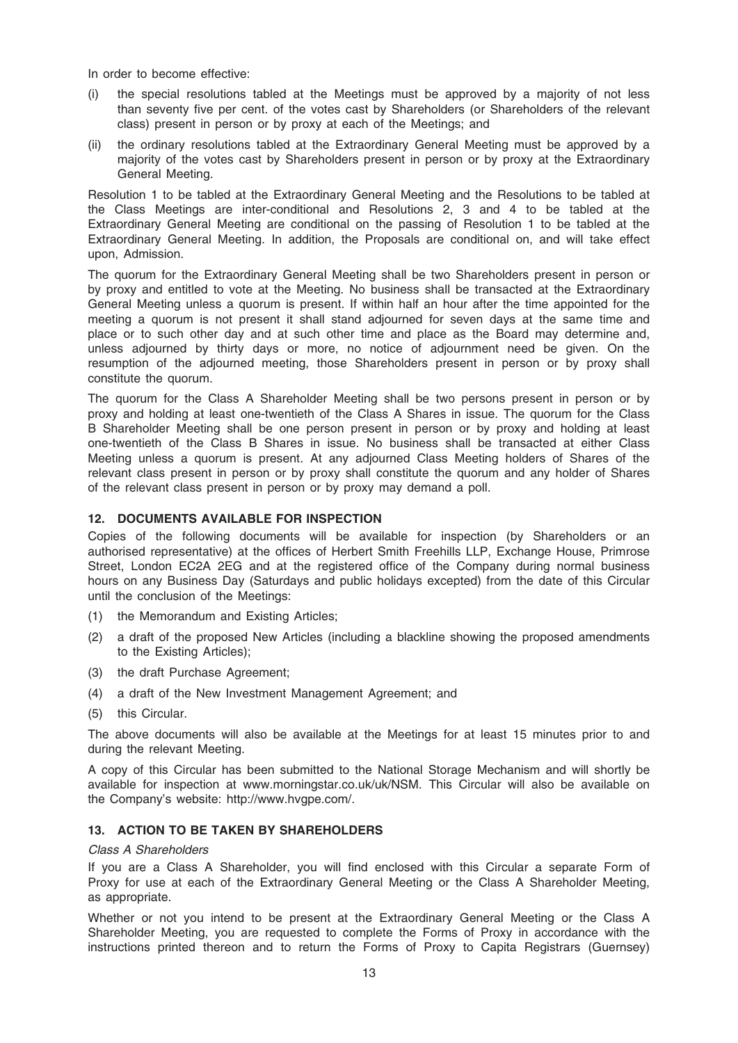In order to become effective:

- (i) the special resolutions tabled at the Meetings must be approved by a majority of not less than seventy five per cent. of the votes cast by Shareholders (or Shareholders of the relevant class) present in person or by proxy at each of the Meetings; and
- (ii) the ordinary resolutions tabled at the Extraordinary General Meeting must be approved by a majority of the votes cast by Shareholders present in person or by proxy at the Extraordinary General Meeting.

Resolution 1 to be tabled at the Extraordinary General Meeting and the Resolutions to be tabled at the Class Meetings are inter-conditional and Resolutions 2, 3 and 4 to be tabled at the Extraordinary General Meeting are conditional on the passing of Resolution 1 to be tabled at the Extraordinary General Meeting. In addition, the Proposals are conditional on, and will take effect upon, Admission.

The quorum for the Extraordinary General Meeting shall be two Shareholders present in person or by proxy and entitled to vote at the Meeting. No business shall be transacted at the Extraordinary General Meeting unless a quorum is present. If within half an hour after the time appointed for the meeting a quorum is not present it shall stand adjourned for seven days at the same time and place or to such other day and at such other time and place as the Board may determine and, unless adjourned by thirty days or more, no notice of adjournment need be given. On the resumption of the adjourned meeting, those Shareholders present in person or by proxy shall constitute the quorum.

The quorum for the Class A Shareholder Meeting shall be two persons present in person or by proxy and holding at least one-twentieth of the Class A Shares in issue. The quorum for the Class B Shareholder Meeting shall be one person present in person or by proxy and holding at least one-twentieth of the Class B Shares in issue. No business shall be transacted at either Class Meeting unless a quorum is present. At any adjourned Class Meeting holders of Shares of the relevant class present in person or by proxy shall constitute the quorum and any holder of Shares of the relevant class present in person or by proxy may demand a poll.

### 12. DOCUMENTS AVAILABLE FOR INSPECTION

Copies of the following documents will be available for inspection (by Shareholders or an authorised representative) at the offices of Herbert Smith Freehills LLP, Exchange House, Primrose Street, London EC2A 2EG and at the registered office of the Company during normal business hours on any Business Day (Saturdays and public holidays excepted) from the date of this Circular until the conclusion of the Meetings:

- (1) the Memorandum and Existing Articles;
- (2) a draft of the proposed New Articles (including a blackline showing the proposed amendments to the Existing Articles);
- (3) the draft Purchase Agreement;
- (4) a draft of the New Investment Management Agreement; and
- (5) this Circular.

The above documents will also be available at the Meetings for at least 15 minutes prior to and during the relevant Meeting.

A copy of this Circular has been submitted to the National Storage Mechanism and will shortly be available for inspection at www.morningstar.co.uk/uk/NSM. This Circular will also be available on the Company's website: http://www.hvgpe.com/.

### 13. ACTION TO BE TAKEN BY SHAREHOLDERS

### Class A Shareholders

If you are a Class A Shareholder, you will find enclosed with this Circular a separate Form of Proxy for use at each of the Extraordinary General Meeting or the Class A Shareholder Meeting, as appropriate.

Whether or not you intend to be present at the Extraordinary General Meeting or the Class A Shareholder Meeting, you are requested to complete the Forms of Proxy in accordance with the instructions printed thereon and to return the Forms of Proxy to Capita Registrars (Guernsey)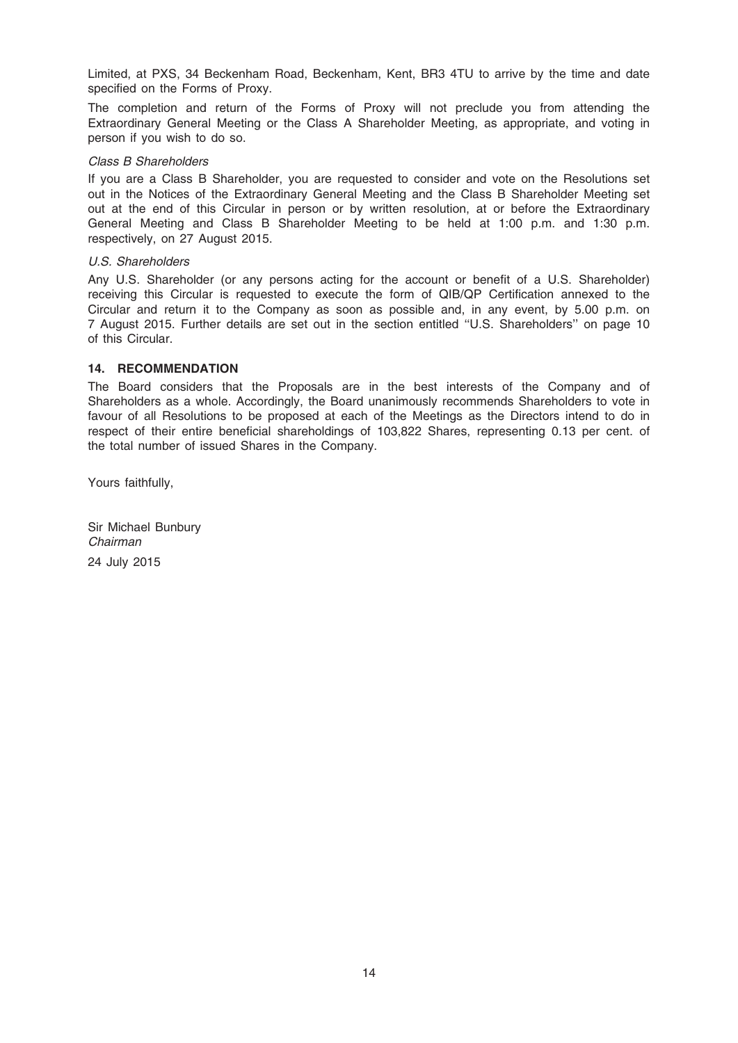Limited, at PXS, 34 Beckenham Road, Beckenham, Kent, BR3 4TU to arrive by the time and date specified on the Forms of Proxy.

The completion and return of the Forms of Proxy will not preclude you from attending the Extraordinary General Meeting or the Class A Shareholder Meeting, as appropriate, and voting in person if you wish to do so.

### Class B Shareholders

If you are a Class B Shareholder, you are requested to consider and vote on the Resolutions set out in the Notices of the Extraordinary General Meeting and the Class B Shareholder Meeting set out at the end of this Circular in person or by written resolution, at or before the Extraordinary General Meeting and Class B Shareholder Meeting to be held at 1:00 p.m. and 1:30 p.m. respectively, on 27 August 2015.

### U.S. Shareholders

Any U.S. Shareholder (or any persons acting for the account or benefit of a U.S. Shareholder) receiving this Circular is requested to execute the form of QIB/QP Certification annexed to the Circular and return it to the Company as soon as possible and, in any event, by 5.00 p.m. on 7 August 2015. Further details are set out in the section entitled ''U.S. Shareholders'' on page 10 of this Circular.

### 14. RECOMMENDATION

The Board considers that the Proposals are in the best interests of the Company and of Shareholders as a whole. Accordingly, the Board unanimously recommends Shareholders to vote in favour of all Resolutions to be proposed at each of the Meetings as the Directors intend to do in respect of their entire beneficial shareholdings of 103,822 Shares, representing 0.13 per cent. of the total number of issued Shares in the Company.

Yours faithfully,

Sir Michael Bunbury Chairman 24 July 2015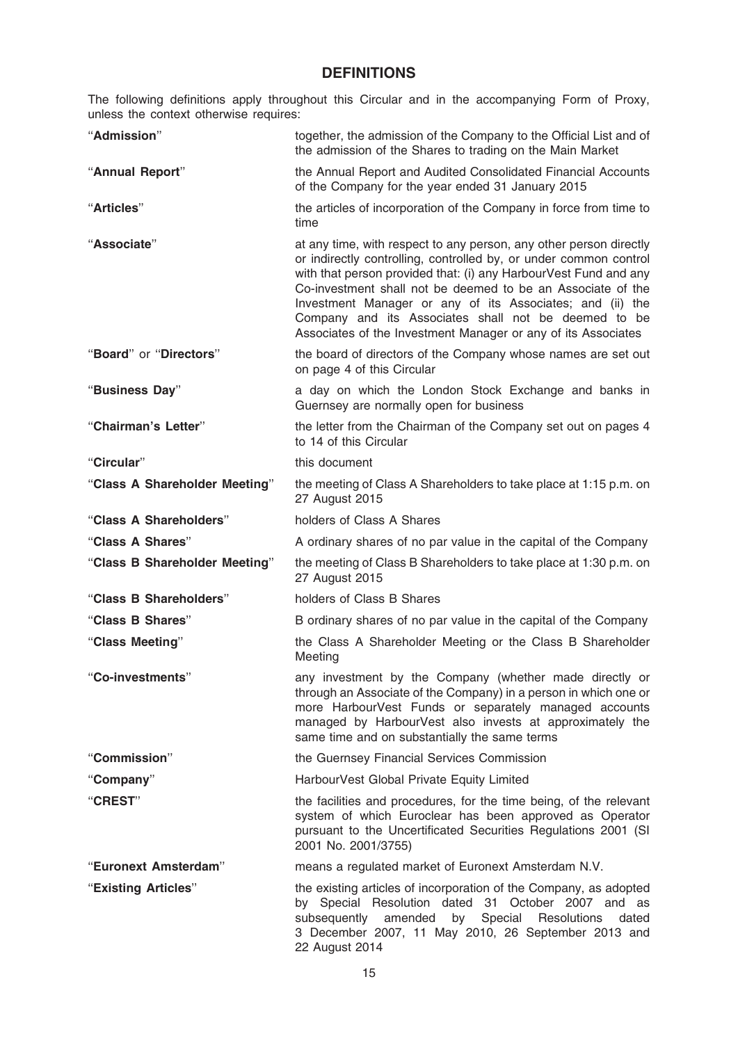### **DEFINITIONS**

The following definitions apply throughout this Circular and in the accompanying Form of Proxy, unless the context otherwise requires:

| "Admission"                   | together, the admission of the Company to the Official List and of<br>the admission of the Shares to trading on the Main Market                                                                                                                                                                                                                                                                                                                                  |
|-------------------------------|------------------------------------------------------------------------------------------------------------------------------------------------------------------------------------------------------------------------------------------------------------------------------------------------------------------------------------------------------------------------------------------------------------------------------------------------------------------|
| "Annual Report"               | the Annual Report and Audited Consolidated Financial Accounts<br>of the Company for the year ended 31 January 2015                                                                                                                                                                                                                                                                                                                                               |
| "Articles"                    | the articles of incorporation of the Company in force from time to<br>time                                                                                                                                                                                                                                                                                                                                                                                       |
| "Associate"                   | at any time, with respect to any person, any other person directly<br>or indirectly controlling, controlled by, or under common control<br>with that person provided that: (i) any HarbourVest Fund and any<br>Co-investment shall not be deemed to be an Associate of the<br>Investment Manager or any of its Associates; and (ii) the<br>Company and its Associates shall not be deemed to be<br>Associates of the Investment Manager or any of its Associates |
| "Board" or "Directors"        | the board of directors of the Company whose names are set out<br>on page 4 of this Circular                                                                                                                                                                                                                                                                                                                                                                      |
| "Business Day"                | a day on which the London Stock Exchange and banks in<br>Guernsey are normally open for business                                                                                                                                                                                                                                                                                                                                                                 |
| "Chairman's Letter"           | the letter from the Chairman of the Company set out on pages 4<br>to 14 of this Circular                                                                                                                                                                                                                                                                                                                                                                         |
| "Circular"                    | this document                                                                                                                                                                                                                                                                                                                                                                                                                                                    |
| "Class A Shareholder Meeting" | the meeting of Class A Shareholders to take place at 1:15 p.m. on<br>27 August 2015                                                                                                                                                                                                                                                                                                                                                                              |
| "Class A Shareholders"        | holders of Class A Shares                                                                                                                                                                                                                                                                                                                                                                                                                                        |
| "Class A Shares"              | A ordinary shares of no par value in the capital of the Company                                                                                                                                                                                                                                                                                                                                                                                                  |
| "Class B Shareholder Meeting" | the meeting of Class B Shareholders to take place at 1:30 p.m. on<br>27 August 2015                                                                                                                                                                                                                                                                                                                                                                              |
| "Class B Shareholders"        | holders of Class B Shares                                                                                                                                                                                                                                                                                                                                                                                                                                        |
| "Class B Shares"              | B ordinary shares of no par value in the capital of the Company                                                                                                                                                                                                                                                                                                                                                                                                  |
| "Class Meeting"               | the Class A Shareholder Meeting or the Class B Shareholder<br>Meeting                                                                                                                                                                                                                                                                                                                                                                                            |
| "Co-investments"              | any investment by the Company (whether made directly or<br>through an Associate of the Company) in a person in which one or<br>more HarbourVest Funds or separately managed accounts<br>managed by HarbourVest also invests at approximately the<br>same time and on substantially the same terms                                                                                                                                                                |
| "Commission"                  | the Guernsey Financial Services Commission                                                                                                                                                                                                                                                                                                                                                                                                                       |
| "Company"                     | HarbourVest Global Private Equity Limited                                                                                                                                                                                                                                                                                                                                                                                                                        |
| "CREST"                       | the facilities and procedures, for the time being, of the relevant<br>system of which Euroclear has been approved as Operator<br>pursuant to the Uncertificated Securities Regulations 2001 (SI<br>2001 No. 2001/3755)                                                                                                                                                                                                                                           |
| "Euronext Amsterdam"          | means a regulated market of Euronext Amsterdam N.V.                                                                                                                                                                                                                                                                                                                                                                                                              |
| "Existing Articles"           | the existing articles of incorporation of the Company, as adopted<br>by Special Resolution dated 31 October 2007 and as<br>subsequently amended<br>by<br>Special Resolutions<br>dated<br>3 December 2007, 11 May 2010, 26 September 2013 and<br>22 August 2014                                                                                                                                                                                                   |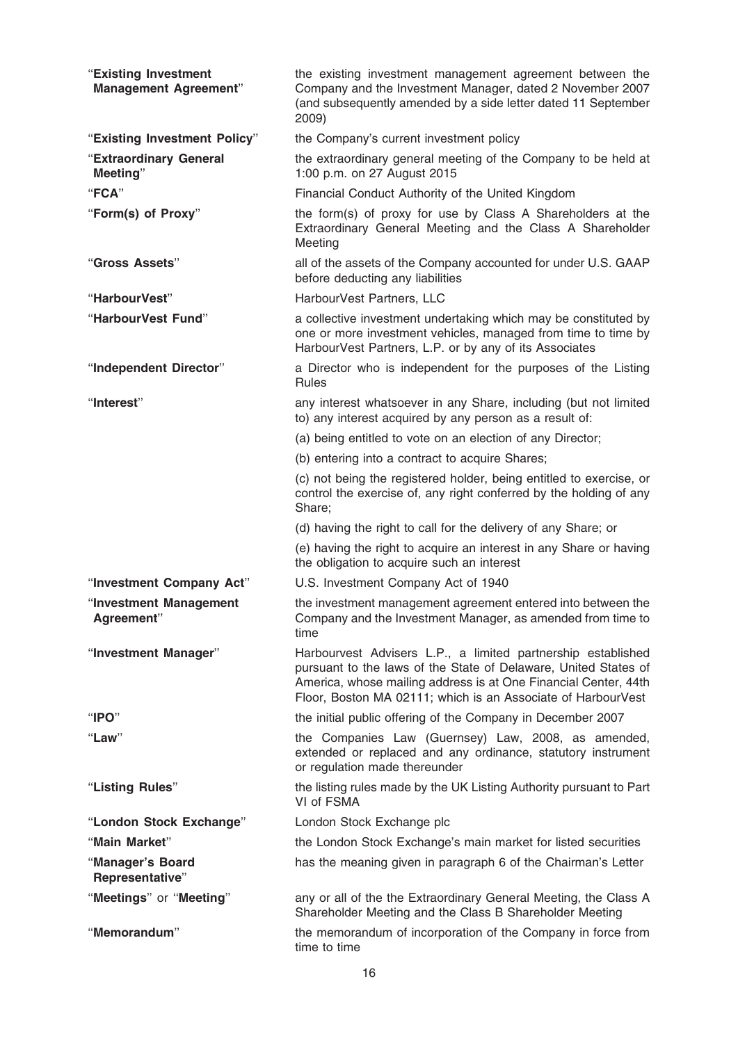| "Existing Investment<br><b>Management Agreement"</b> | the existing investment management agreement between the<br>Company and the Investment Manager, dated 2 November 2007<br>(and subsequently amended by a side letter dated 11 September<br>2009)                                                                    |
|------------------------------------------------------|--------------------------------------------------------------------------------------------------------------------------------------------------------------------------------------------------------------------------------------------------------------------|
| "Existing Investment Policy"                         | the Company's current investment policy                                                                                                                                                                                                                            |
| "Extraordinary General<br>Meeting"                   | the extraordinary general meeting of the Company to be held at<br>1:00 p.m. on 27 August 2015                                                                                                                                                                      |
| "FCA"                                                | Financial Conduct Authority of the United Kingdom                                                                                                                                                                                                                  |
| "Form(s) of Proxy"                                   | the form(s) of proxy for use by Class A Shareholders at the<br>Extraordinary General Meeting and the Class A Shareholder<br>Meeting                                                                                                                                |
| "Gross Assets"                                       | all of the assets of the Company accounted for under U.S. GAAP<br>before deducting any liabilities                                                                                                                                                                 |
| "HarbourVest"                                        | HarbourVest Partners, LLC                                                                                                                                                                                                                                          |
| "HarbourVest Fund"                                   | a collective investment undertaking which may be constituted by<br>one or more investment vehicles, managed from time to time by<br>HarbourVest Partners, L.P. or by any of its Associates                                                                         |
| "Independent Director"                               | a Director who is independent for the purposes of the Listing<br><b>Rules</b>                                                                                                                                                                                      |
| "Interest"                                           | any interest whatsoever in any Share, including (but not limited<br>to) any interest acquired by any person as a result of:                                                                                                                                        |
|                                                      | (a) being entitled to vote on an election of any Director;                                                                                                                                                                                                         |
|                                                      | (b) entering into a contract to acquire Shares;                                                                                                                                                                                                                    |
|                                                      | (c) not being the registered holder, being entitled to exercise, or<br>control the exercise of, any right conferred by the holding of any<br>Share;                                                                                                                |
|                                                      | (d) having the right to call for the delivery of any Share; or                                                                                                                                                                                                     |
|                                                      | (e) having the right to acquire an interest in any Share or having<br>the obligation to acquire such an interest                                                                                                                                                   |
| "Investment Company Act"                             | U.S. Investment Company Act of 1940                                                                                                                                                                                                                                |
| "Investment Management<br>Agreement"                 | the investment management agreement entered into between the<br>Company and the Investment Manager, as amended from time to<br>time                                                                                                                                |
| "Investment Manager"                                 | Harbourvest Advisers L.P., a limited partnership established<br>pursuant to the laws of the State of Delaware, United States of<br>America, whose mailing address is at One Financial Center, 44th<br>Floor, Boston MA 02111; which is an Associate of HarbourVest |
| " $PQ$ "                                             | the initial public offering of the Company in December 2007                                                                                                                                                                                                        |
| "Law"                                                | the Companies Law (Guernsey) Law, 2008, as amended,<br>extended or replaced and any ordinance, statutory instrument<br>or regulation made thereunder                                                                                                               |
| "Listing Rules"                                      | the listing rules made by the UK Listing Authority pursuant to Part<br>VI of FSMA                                                                                                                                                                                  |
| "London Stock Exchange"                              | London Stock Exchange plc                                                                                                                                                                                                                                          |
| "Main Market"                                        | the London Stock Exchange's main market for listed securities                                                                                                                                                                                                      |
| "Manager's Board<br>Representative"                  | has the meaning given in paragraph 6 of the Chairman's Letter                                                                                                                                                                                                      |
| "Meetings" or "Meeting"                              | any or all of the the Extraordinary General Meeting, the Class A<br>Shareholder Meeting and the Class B Shareholder Meeting                                                                                                                                        |
| "Memorandum"                                         | the memorandum of incorporation of the Company in force from<br>time to time                                                                                                                                                                                       |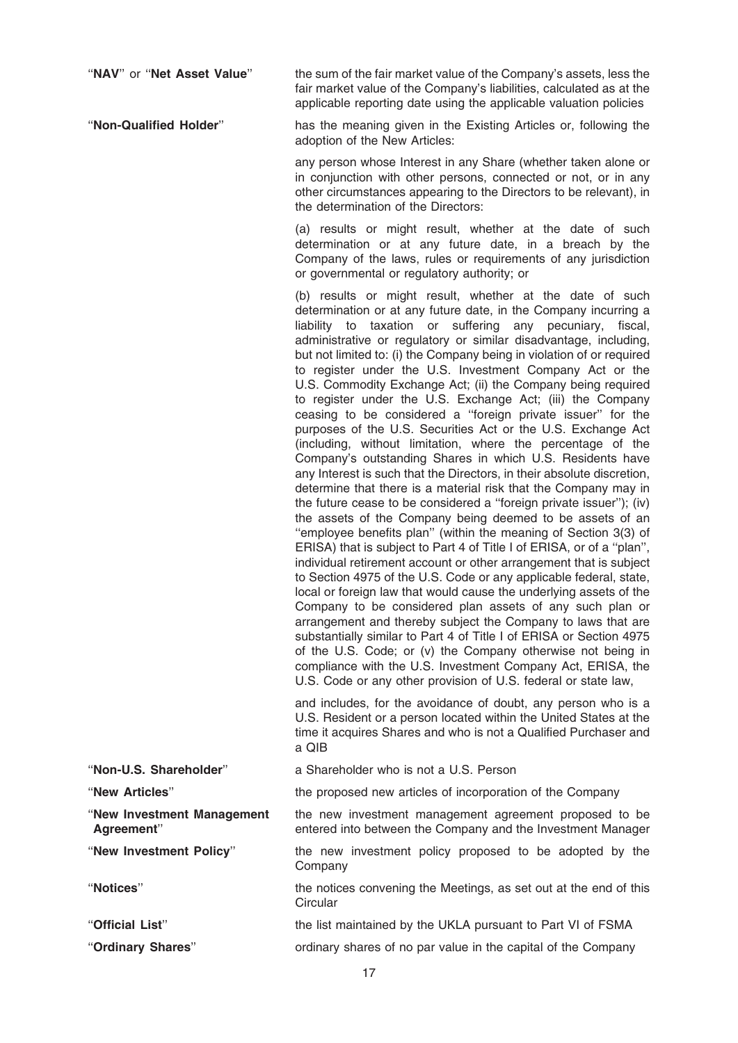"NAV" or "Net Asset Value" the sum of the fair market value of the Company's assets, less the fair market value of the Company's liabilities, calculated as at the applicable reporting date using the applicable valuation policies

''Non-Qualified Holder'' has the meaning given in the Existing Articles or, following the adoption of the New Articles:

> any person whose Interest in any Share (whether taken alone or in conjunction with other persons, connected or not, or in any other circumstances appearing to the Directors to be relevant), in the determination of the Directors:

> (a) results or might result, whether at the date of such determination or at any future date, in a breach by the Company of the laws, rules or requirements of any jurisdiction or governmental or regulatory authority; or

> (b) results or might result, whether at the date of such determination or at any future date, in the Company incurring a liability to taxation or suffering any pecuniary, fiscal, administrative or regulatory or similar disadvantage, including, but not limited to: (i) the Company being in violation of or required to register under the U.S. Investment Company Act or the U.S. Commodity Exchange Act; (ii) the Company being required to register under the U.S. Exchange Act; (iii) the Company ceasing to be considered a ''foreign private issuer'' for the purposes of the U.S. Securities Act or the U.S. Exchange Act (including, without limitation, where the percentage of the Company's outstanding Shares in which U.S. Residents have any Interest is such that the Directors, in their absolute discretion, determine that there is a material risk that the Company may in the future cease to be considered a ''foreign private issuer''); (iv) the assets of the Company being deemed to be assets of an ''employee benefits plan'' (within the meaning of Section 3(3) of ERISA) that is subject to Part 4 of Title I of ERISA, or of a ''plan'', individual retirement account or other arrangement that is subject to Section 4975 of the U.S. Code or any applicable federal, state, local or foreign law that would cause the underlying assets of the Company to be considered plan assets of any such plan or arrangement and thereby subject the Company to laws that are substantially similar to Part 4 of Title I of ERISA or Section 4975 of the U.S. Code; or (v) the Company otherwise not being in compliance with the U.S. Investment Company Act, ERISA, the U.S. Code or any other provision of U.S. federal or state law,

> and includes, for the avoidance of doubt, any person who is a U.S. Resident or a person located within the United States at the time it acquires Shares and who is not a Qualified Purchaser and a QIB

| "Non-U.S. Shareholder"                   | a Shareholder who is not a U.S. Person                                                                                |
|------------------------------------------|-----------------------------------------------------------------------------------------------------------------------|
| "New Articles"                           | the proposed new articles of incorporation of the Company                                                             |
| "New Investment Management<br>Agreement" | the new investment management agreement proposed to be<br>entered into between the Company and the Investment Manager |
| "New Investment Policy"                  | the new investment policy proposed to be adopted by the<br>Company                                                    |
| "Notices"                                | the notices convening the Meetings, as set out at the end of this<br>Circular                                         |
| "Official List"                          | the list maintained by the UKLA pursuant to Part VI of FSMA                                                           |
| "Ordinary Shares"                        | ordinary shares of no par value in the capital of the Company                                                         |
|                                          |                                                                                                                       |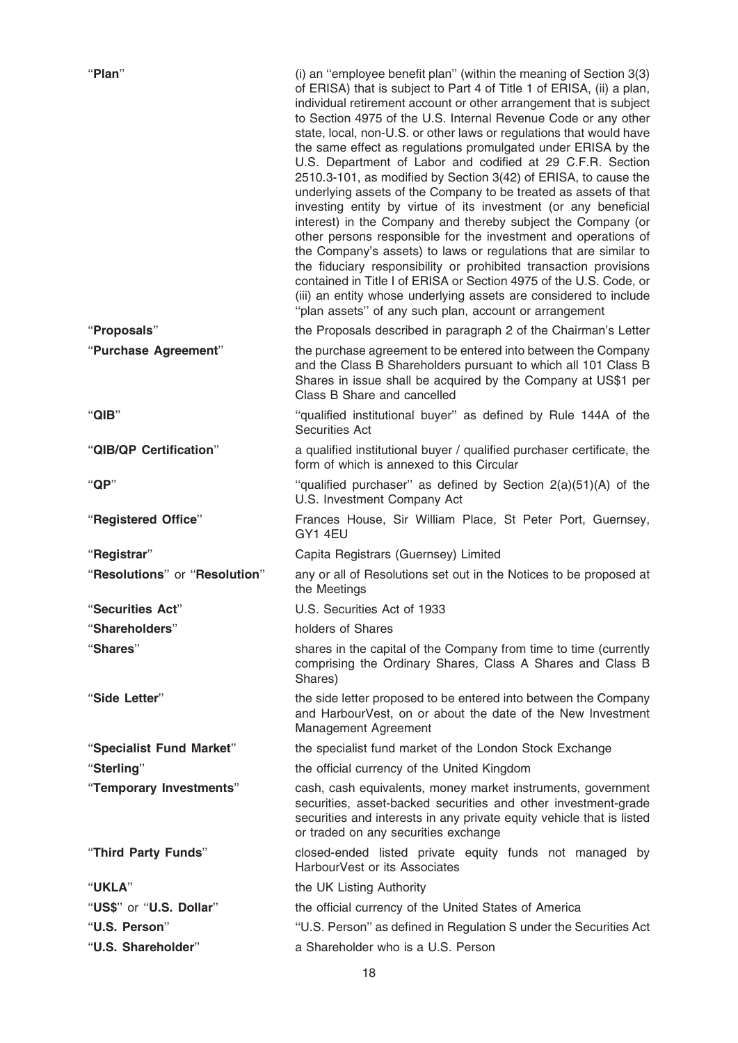| "Plan"                        | (i) an "employee benefit plan" (within the meaning of Section 3(3)<br>of ERISA) that is subject to Part 4 of Title 1 of ERISA, (ii) a plan,<br>individual retirement account or other arrangement that is subject<br>to Section 4975 of the U.S. Internal Revenue Code or any other<br>state, local, non-U.S. or other laws or regulations that would have<br>the same effect as regulations promulgated under ERISA by the<br>U.S. Department of Labor and codified at 29 C.F.R. Section<br>2510.3-101, as modified by Section 3(42) of ERISA, to cause the<br>underlying assets of the Company to be treated as assets of that<br>investing entity by virtue of its investment (or any beneficial<br>interest) in the Company and thereby subject the Company (or<br>other persons responsible for the investment and operations of<br>the Company's assets) to laws or regulations that are similar to<br>the fiduciary responsibility or prohibited transaction provisions<br>contained in Title I of ERISA or Section 4975 of the U.S. Code, or<br>(iii) an entity whose underlying assets are considered to include<br>"plan assets" of any such plan, account or arrangement |
|-------------------------------|-------------------------------------------------------------------------------------------------------------------------------------------------------------------------------------------------------------------------------------------------------------------------------------------------------------------------------------------------------------------------------------------------------------------------------------------------------------------------------------------------------------------------------------------------------------------------------------------------------------------------------------------------------------------------------------------------------------------------------------------------------------------------------------------------------------------------------------------------------------------------------------------------------------------------------------------------------------------------------------------------------------------------------------------------------------------------------------------------------------------------------------------------------------------------------------|
| "Proposals"                   | the Proposals described in paragraph 2 of the Chairman's Letter                                                                                                                                                                                                                                                                                                                                                                                                                                                                                                                                                                                                                                                                                                                                                                                                                                                                                                                                                                                                                                                                                                                     |
| "Purchase Agreement"          | the purchase agreement to be entered into between the Company<br>and the Class B Shareholders pursuant to which all 101 Class B<br>Shares in issue shall be acquired by the Company at US\$1 per<br>Class B Share and cancelled                                                                                                                                                                                                                                                                                                                                                                                                                                                                                                                                                                                                                                                                                                                                                                                                                                                                                                                                                     |
| "QIB"                         | "qualified institutional buyer" as defined by Rule 144A of the<br><b>Securities Act</b>                                                                                                                                                                                                                                                                                                                                                                                                                                                                                                                                                                                                                                                                                                                                                                                                                                                                                                                                                                                                                                                                                             |
| "QIB/QP Certification"        | a qualified institutional buyer / qualified purchaser certificate, the<br>form of which is annexed to this Circular                                                                                                                                                                                                                                                                                                                                                                                                                                                                                                                                                                                                                                                                                                                                                                                                                                                                                                                                                                                                                                                                 |
| " $QP$ "                      | "qualified purchaser" as defined by Section $2(a)(51)(A)$ of the<br>U.S. Investment Company Act                                                                                                                                                                                                                                                                                                                                                                                                                                                                                                                                                                                                                                                                                                                                                                                                                                                                                                                                                                                                                                                                                     |
| "Registered Office"           | Frances House, Sir William Place, St Peter Port, Guernsey,<br>GY1 4EU                                                                                                                                                                                                                                                                                                                                                                                                                                                                                                                                                                                                                                                                                                                                                                                                                                                                                                                                                                                                                                                                                                               |
| "Registrar"                   | Capita Registrars (Guernsey) Limited                                                                                                                                                                                                                                                                                                                                                                                                                                                                                                                                                                                                                                                                                                                                                                                                                                                                                                                                                                                                                                                                                                                                                |
| "Resolutions" or "Resolution" | any or all of Resolutions set out in the Notices to be proposed at<br>the Meetings                                                                                                                                                                                                                                                                                                                                                                                                                                                                                                                                                                                                                                                                                                                                                                                                                                                                                                                                                                                                                                                                                                  |
| "Securities Act"              | U.S. Securities Act of 1933                                                                                                                                                                                                                                                                                                                                                                                                                                                                                                                                                                                                                                                                                                                                                                                                                                                                                                                                                                                                                                                                                                                                                         |
| "Shareholders"                | holders of Shares                                                                                                                                                                                                                                                                                                                                                                                                                                                                                                                                                                                                                                                                                                                                                                                                                                                                                                                                                                                                                                                                                                                                                                   |
| "Shares"                      | shares in the capital of the Company from time to time (currently<br>comprising the Ordinary Shares, Class A Shares and Class B<br>Shares)                                                                                                                                                                                                                                                                                                                                                                                                                                                                                                                                                                                                                                                                                                                                                                                                                                                                                                                                                                                                                                          |
| "Side Letter"                 | the side letter proposed to be entered into between the Company<br>and HarbourVest, on or about the date of the New Investment<br>Management Agreement                                                                                                                                                                                                                                                                                                                                                                                                                                                                                                                                                                                                                                                                                                                                                                                                                                                                                                                                                                                                                              |
| "Specialist Fund Market"      | the specialist fund market of the London Stock Exchange                                                                                                                                                                                                                                                                                                                                                                                                                                                                                                                                                                                                                                                                                                                                                                                                                                                                                                                                                                                                                                                                                                                             |
| "Sterling"                    | the official currency of the United Kingdom                                                                                                                                                                                                                                                                                                                                                                                                                                                                                                                                                                                                                                                                                                                                                                                                                                                                                                                                                                                                                                                                                                                                         |
| "Temporary Investments"       | cash, cash equivalents, money market instruments, government<br>securities, asset-backed securities and other investment-grade<br>securities and interests in any private equity vehicle that is listed<br>or traded on any securities exchange                                                                                                                                                                                                                                                                                                                                                                                                                                                                                                                                                                                                                                                                                                                                                                                                                                                                                                                                     |
| "Third Party Funds"           | closed-ended listed private equity funds not managed by<br>HarbourVest or its Associates                                                                                                                                                                                                                                                                                                                                                                                                                                                                                                                                                                                                                                                                                                                                                                                                                                                                                                                                                                                                                                                                                            |
| "UKLA"                        | the UK Listing Authority                                                                                                                                                                                                                                                                                                                                                                                                                                                                                                                                                                                                                                                                                                                                                                                                                                                                                                                                                                                                                                                                                                                                                            |
| "US\$" or "U.S. Dollar"       | the official currency of the United States of America                                                                                                                                                                                                                                                                                                                                                                                                                                                                                                                                                                                                                                                                                                                                                                                                                                                                                                                                                                                                                                                                                                                               |
| "U.S. Person"                 | "U.S. Person" as defined in Regulation S under the Securities Act                                                                                                                                                                                                                                                                                                                                                                                                                                                                                                                                                                                                                                                                                                                                                                                                                                                                                                                                                                                                                                                                                                                   |
| "U.S. Shareholder"            | a Shareholder who is a U.S. Person                                                                                                                                                                                                                                                                                                                                                                                                                                                                                                                                                                                                                                                                                                                                                                                                                                                                                                                                                                                                                                                                                                                                                  |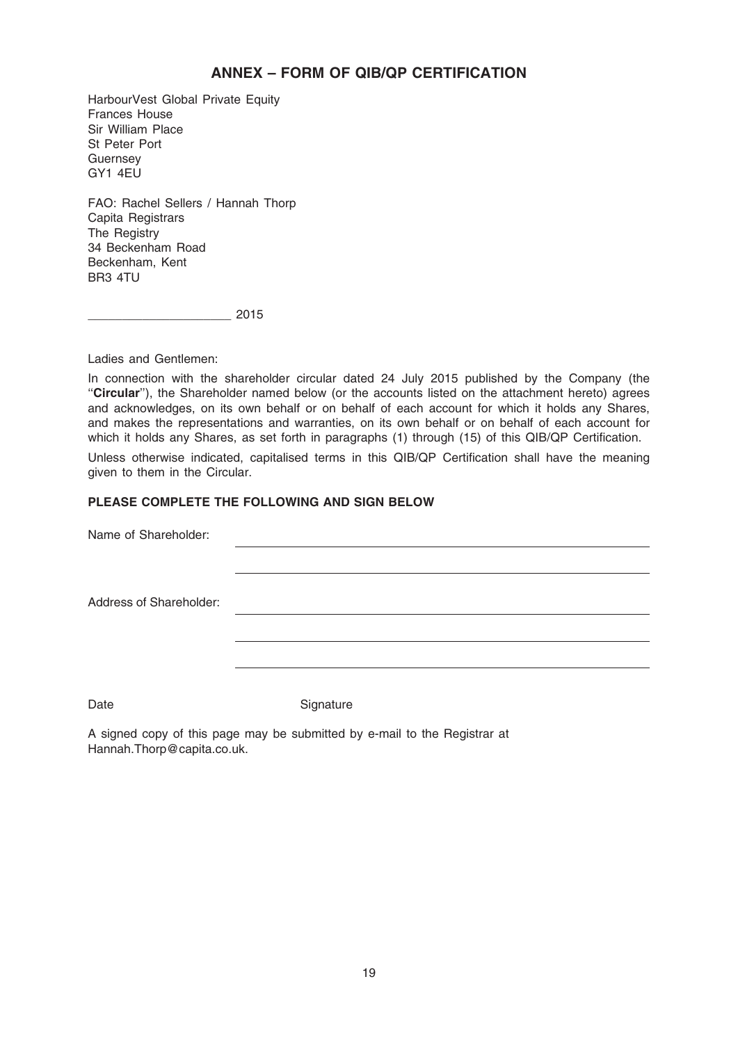### ANNEX – FORM OF QIB/QP CERTIFICATION

HarbourVest Global Private Equity Frances House Sir William Place St Peter Port **Guernsey** GY1 4EU

FAO: Rachel Sellers / Hannah Thorp Capita Registrars The Registry 34 Beckenham Road Beckenham, Kent BR3 4TU

\_\_\_\_\_\_\_\_\_\_\_\_\_\_\_\_\_\_\_\_\_ 2015

Ladies and Gentlemen:

In connection with the shareholder circular dated 24 July 2015 published by the Company (the "Circular"), the Shareholder named below (or the accounts listed on the attachment hereto) agrees and acknowledges, on its own behalf or on behalf of each account for which it holds any Shares, and makes the representations and warranties, on its own behalf or on behalf of each account for which it holds any Shares, as set forth in paragraphs (1) through (15) of this QIB/QP Certification.

Unless otherwise indicated, capitalised terms in this QIB/QP Certification shall have the meaning given to them in the Circular.

### PLEASE COMPLETE THE FOLLOWING AND SIGN BELOW

Name of Shareholder:

Address of Shareholder:

Date Signature

A signed copy of this page may be submitted by e-mail to the Registrar at Hannah.Thorp@capita.co.uk.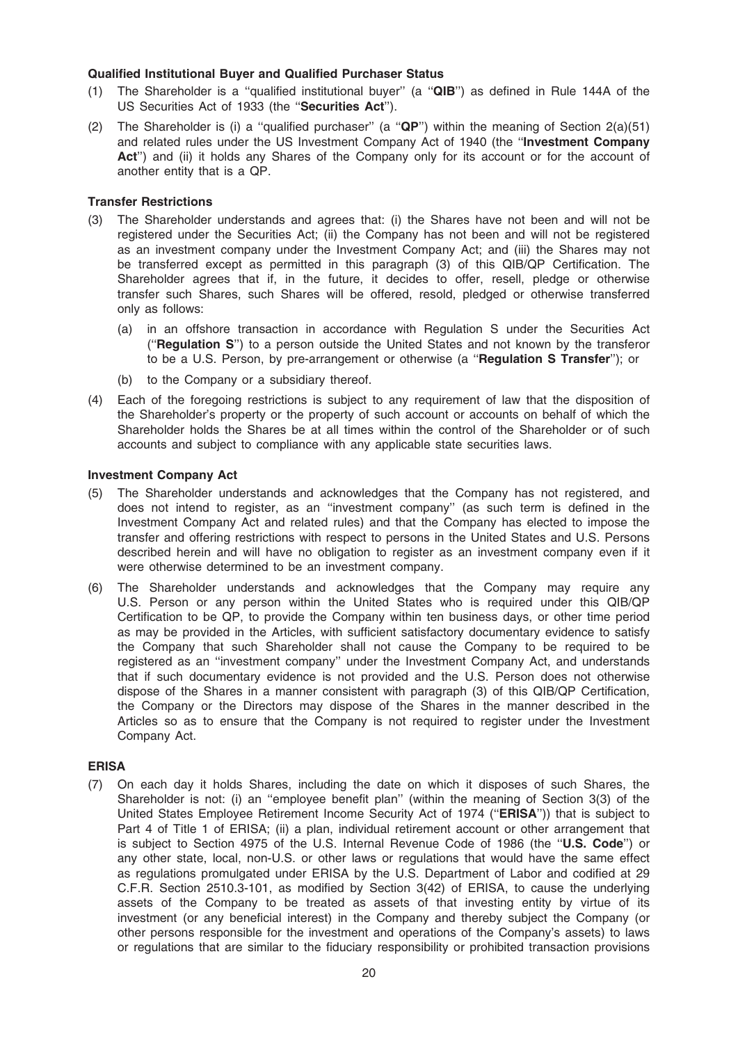### Qualified Institutional Buyer and Qualified Purchaser Status

- (1) The Shareholder is a ''qualified institutional buyer'' (a ''QIB'') as defined in Rule 144A of the US Securities Act of 1933 (the "Securities Act").
- (2) The Shareholder is (i) a "qualified purchaser" (a " $QP$ ") within the meaning of Section 2(a)(51) and related rules under the US Investment Company Act of 1940 (the ''Investment Company Act") and (ii) it holds any Shares of the Company only for its account or for the account of another entity that is a QP.

### Transfer Restrictions

- (3) The Shareholder understands and agrees that: (i) the Shares have not been and will not be registered under the Securities Act; (ii) the Company has not been and will not be registered as an investment company under the Investment Company Act; and (iii) the Shares may not be transferred except as permitted in this paragraph (3) of this QIB/QP Certification. The Shareholder agrees that if, in the future, it decides to offer, resell, pledge or otherwise transfer such Shares, such Shares will be offered, resold, pledged or otherwise transferred only as follows:
	- (a) in an offshore transaction in accordance with Regulation S under the Securities Act (''Regulation S'') to a person outside the United States and not known by the transferor to be a U.S. Person, by pre-arrangement or otherwise (a ''Regulation S Transfer''); or
	- (b) to the Company or a subsidiary thereof.
- (4) Each of the foregoing restrictions is subject to any requirement of law that the disposition of the Shareholder's property or the property of such account or accounts on behalf of which the Shareholder holds the Shares be at all times within the control of the Shareholder or of such accounts and subject to compliance with any applicable state securities laws.

### Investment Company Act

- (5) The Shareholder understands and acknowledges that the Company has not registered, and does not intend to register, as an ''investment company'' (as such term is defined in the Investment Company Act and related rules) and that the Company has elected to impose the transfer and offering restrictions with respect to persons in the United States and U.S. Persons described herein and will have no obligation to register as an investment company even if it were otherwise determined to be an investment company.
- (6) The Shareholder understands and acknowledges that the Company may require any U.S. Person or any person within the United States who is required under this OIB/OP Certification to be QP, to provide the Company within ten business days, or other time period as may be provided in the Articles, with sufficient satisfactory documentary evidence to satisfy the Company that such Shareholder shall not cause the Company to be required to be registered as an ''investment company'' under the Investment Company Act, and understands that if such documentary evidence is not provided and the U.S. Person does not otherwise dispose of the Shares in a manner consistent with paragraph (3) of this QIB/QP Certification, the Company or the Directors may dispose of the Shares in the manner described in the Articles so as to ensure that the Company is not required to register under the Investment Company Act.

### ERISA

(7) On each day it holds Shares, including the date on which it disposes of such Shares, the Shareholder is not: (i) an ''employee benefit plan'' (within the meaning of Section 3(3) of the United States Employee Retirement Income Security Act of 1974 ("ERISA")) that is subject to Part 4 of Title 1 of ERISA; (ii) a plan, individual retirement account or other arrangement that is subject to Section 4975 of the U.S. Internal Revenue Code of 1986 (the "U.S. Code") or any other state, local, non-U.S. or other laws or regulations that would have the same effect as regulations promulgated under ERISA by the U.S. Department of Labor and codified at 29 C.F.R. Section 2510.3-101, as modified by Section 3(42) of ERISA, to cause the underlying assets of the Company to be treated as assets of that investing entity by virtue of its investment (or any beneficial interest) in the Company and thereby subject the Company (or other persons responsible for the investment and operations of the Company's assets) to laws or regulations that are similar to the fiduciary responsibility or prohibited transaction provisions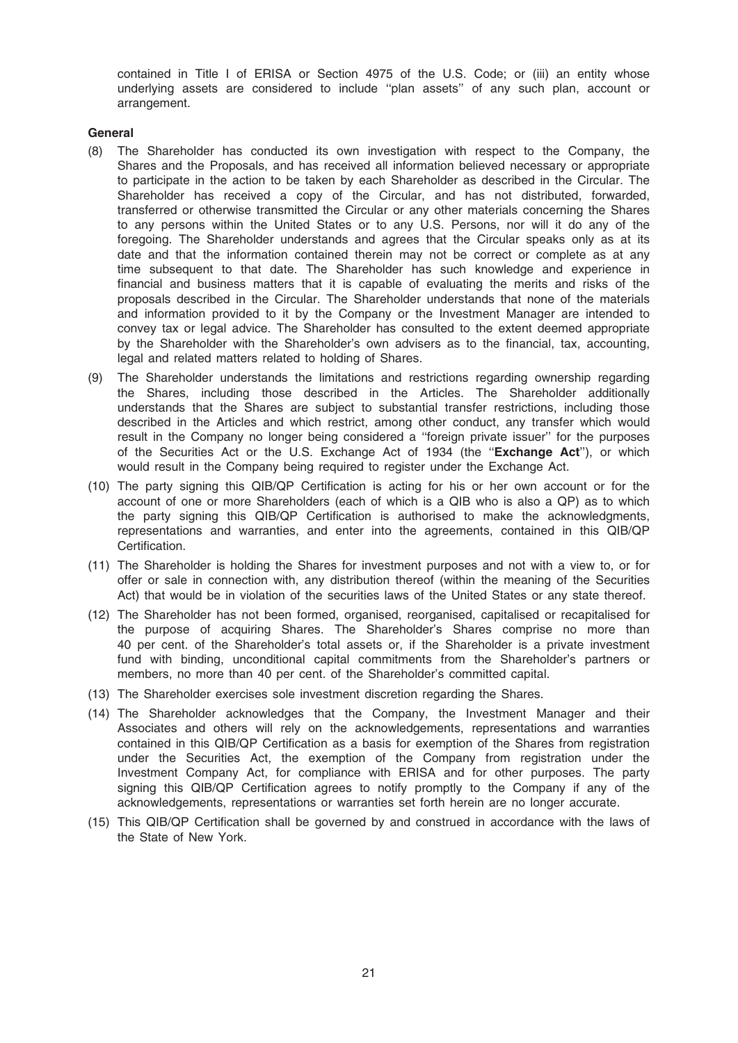contained in Title I of ERISA or Section 4975 of the U.S. Code; or (iii) an entity whose underlying assets are considered to include ''plan assets'' of any such plan, account or arrangement.

### General

- (8) The Shareholder has conducted its own investigation with respect to the Company, the Shares and the Proposals, and has received all information believed necessary or appropriate to participate in the action to be taken by each Shareholder as described in the Circular. The Shareholder has received a copy of the Circular, and has not distributed, forwarded, transferred or otherwise transmitted the Circular or any other materials concerning the Shares to any persons within the United States or to any U.S. Persons, nor will it do any of the foregoing. The Shareholder understands and agrees that the Circular speaks only as at its date and that the information contained therein may not be correct or complete as at any time subsequent to that date. The Shareholder has such knowledge and experience in financial and business matters that it is capable of evaluating the merits and risks of the proposals described in the Circular. The Shareholder understands that none of the materials and information provided to it by the Company or the Investment Manager are intended to convey tax or legal advice. The Shareholder has consulted to the extent deemed appropriate by the Shareholder with the Shareholder's own advisers as to the financial, tax, accounting, legal and related matters related to holding of Shares.
- (9) The Shareholder understands the limitations and restrictions regarding ownership regarding the Shares, including those described in the Articles. The Shareholder additionally understands that the Shares are subject to substantial transfer restrictions, including those described in the Articles and which restrict, among other conduct, any transfer which would result in the Company no longer being considered a ''foreign private issuer'' for the purposes of the Securities Act or the U.S. Exchange Act of 1934 (the "Exchange Act"), or which would result in the Company being required to register under the Exchange Act.
- (10) The party signing this QIB/QP Certification is acting for his or her own account or for the account of one or more Shareholders (each of which is a QIB who is also a QP) as to which the party signing this QIB/QP Certification is authorised to make the acknowledgments, representations and warranties, and enter into the agreements, contained in this QIB/QP Certification.
- (11) The Shareholder is holding the Shares for investment purposes and not with a view to, or for offer or sale in connection with, any distribution thereof (within the meaning of the Securities Act) that would be in violation of the securities laws of the United States or any state thereof.
- (12) The Shareholder has not been formed, organised, reorganised, capitalised or recapitalised for the purpose of acquiring Shares. The Shareholder's Shares comprise no more than 40 per cent. of the Shareholder's total assets or, if the Shareholder is a private investment fund with binding, unconditional capital commitments from the Shareholder's partners or members, no more than 40 per cent. of the Shareholder's committed capital.
- (13) The Shareholder exercises sole investment discretion regarding the Shares.
- (14) The Shareholder acknowledges that the Company, the Investment Manager and their Associates and others will rely on the acknowledgements, representations and warranties contained in this QIB/QP Certification as a basis for exemption of the Shares from registration under the Securities Act, the exemption of the Company from registration under the Investment Company Act, for compliance with ERISA and for other purposes. The party signing this QIB/QP Certification agrees to notify promptly to the Company if any of the acknowledgements, representations or warranties set forth herein are no longer accurate.
- (15) This QIB/QP Certification shall be governed by and construed in accordance with the laws of the State of New York.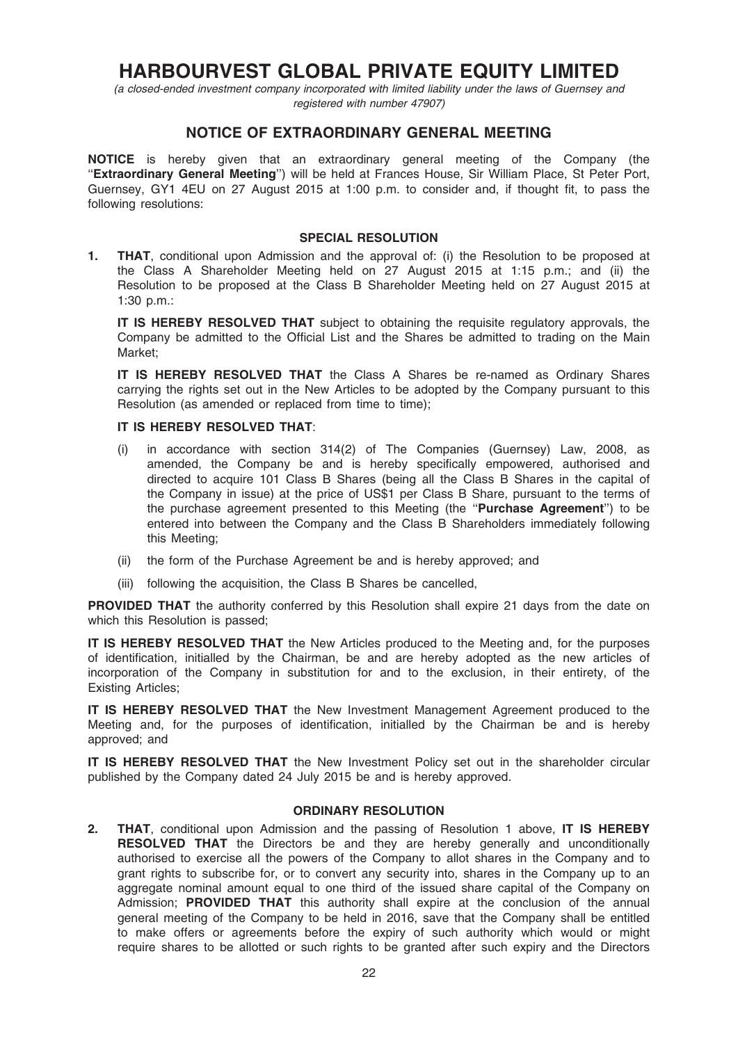# HARBOURVEST GLOBAL PRIVATE EQUITY LIMITED

(a closed-ended investment company incorporated with limited liability under the laws of Guernsey and registered with number 47907)

### NOTICE OF EXTRAORDINARY GENERAL MEETING

NOTICE is hereby given that an extraordinary general meeting of the Company (the "Extraordinary General Meeting") will be held at Frances House, Sir William Place, St Peter Port, Guernsey, GY1 4EU on 27 August 2015 at 1:00 p.m. to consider and, if thought fit, to pass the following resolutions:

### SPECIAL RESOLUTION

1. **THAT**, conditional upon Admission and the approval of: (i) the Resolution to be proposed at the Class A Shareholder Meeting held on 27 August 2015 at 1:15 p.m.; and (ii) the Resolution to be proposed at the Class B Shareholder Meeting held on 27 August 2015 at 1:30 p.m.:

**IT IS HEREBY RESOLVED THAT** subject to obtaining the requisite regulatory approvals, the Company be admitted to the Official List and the Shares be admitted to trading on the Main Market;

IT IS HEREBY RESOLVED THAT the Class A Shares be re-named as Ordinary Shares carrying the rights set out in the New Articles to be adopted by the Company pursuant to this Resolution (as amended or replaced from time to time);

### IT IS HEREBY RESOLVED THAT:

- (i) in accordance with section 314(2) of The Companies (Guernsey) Law, 2008, as amended, the Company be and is hereby specifically empowered, authorised and directed to acquire 101 Class B Shares (being all the Class B Shares in the capital of the Company in issue) at the price of US\$1 per Class B Share, pursuant to the terms of the purchase agreement presented to this Meeting (the ''Purchase Agreement'') to be entered into between the Company and the Class B Shareholders immediately following this Meeting;
- (ii) the form of the Purchase Agreement be and is hereby approved; and
- (iii) following the acquisition, the Class B Shares be cancelled,

**PROVIDED THAT** the authority conferred by this Resolution shall expire 21 days from the date on which this Resolution is passed;

IT IS HEREBY RESOLVED THAT the New Articles produced to the Meeting and, for the purposes of identification, initialled by the Chairman, be and are hereby adopted as the new articles of incorporation of the Company in substitution for and to the exclusion, in their entirety, of the Existing Articles;

IT IS HEREBY RESOLVED THAT the New Investment Management Agreement produced to the Meeting and, for the purposes of identification, initialled by the Chairman be and is hereby approved; and

**IT IS HEREBY RESOLVED THAT** the New Investment Policy set out in the shareholder circular published by the Company dated 24 July 2015 be and is hereby approved.

### ORDINARY RESOLUTION

2. THAT, conditional upon Admission and the passing of Resolution 1 above, IT IS HEREBY RESOLVED THAT the Directors be and they are hereby generally and unconditionally authorised to exercise all the powers of the Company to allot shares in the Company and to grant rights to subscribe for, or to convert any security into, shares in the Company up to an aggregate nominal amount equal to one third of the issued share capital of the Company on Admission; PROVIDED THAT this authority shall expire at the conclusion of the annual general meeting of the Company to be held in 2016, save that the Company shall be entitled to make offers or agreements before the expiry of such authority which would or might require shares to be allotted or such rights to be granted after such expiry and the Directors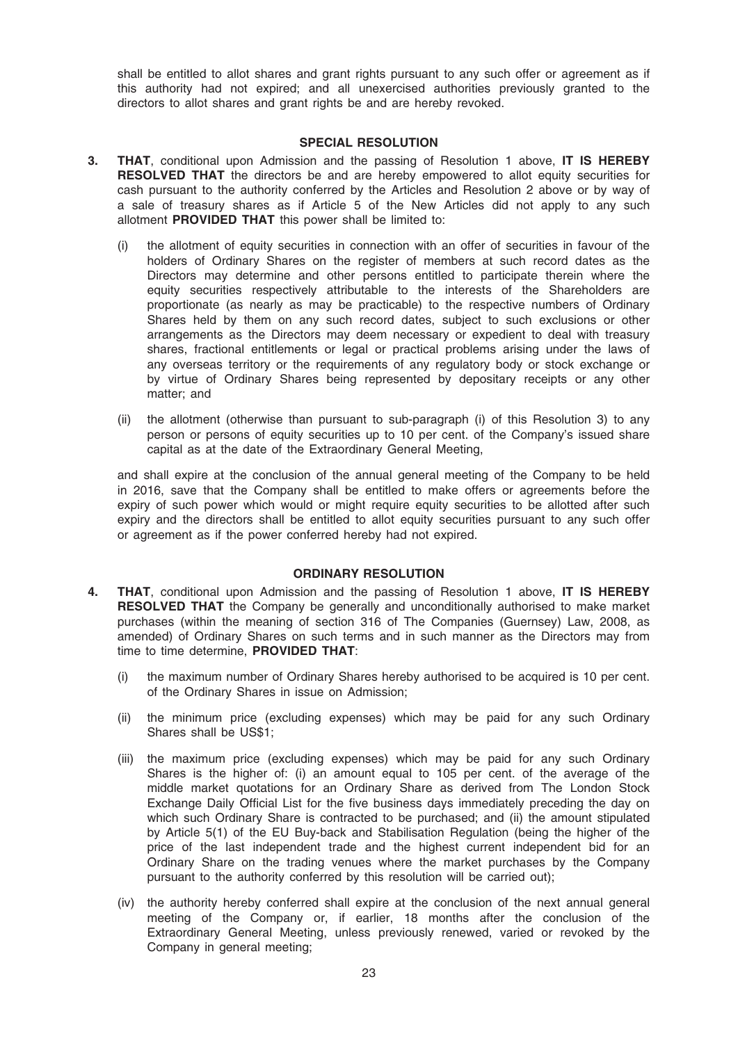shall be entitled to allot shares and grant rights pursuant to any such offer or agreement as if this authority had not expired; and all unexercised authorities previously granted to the directors to allot shares and grant rights be and are hereby revoked.

### SPECIAL RESOLUTION

- 3. THAT, conditional upon Admission and the passing of Resolution 1 above, IT IS HEREBY RESOLVED THAT the directors be and are hereby empowered to allot equity securities for cash pursuant to the authority conferred by the Articles and Resolution 2 above or by way of a sale of treasury shares as if Article 5 of the New Articles did not apply to any such allotment PROVIDED THAT this power shall be limited to:
	- (i) the allotment of equity securities in connection with an offer of securities in favour of the holders of Ordinary Shares on the register of members at such record dates as the Directors may determine and other persons entitled to participate therein where the equity securities respectively attributable to the interests of the Shareholders are proportionate (as nearly as may be practicable) to the respective numbers of Ordinary Shares held by them on any such record dates, subject to such exclusions or other arrangements as the Directors may deem necessary or expedient to deal with treasury shares, fractional entitlements or legal or practical problems arising under the laws of any overseas territory or the requirements of any regulatory body or stock exchange or by virtue of Ordinary Shares being represented by depositary receipts or any other matter; and
	- (ii) the allotment (otherwise than pursuant to sub-paragraph (i) of this Resolution 3) to any person or persons of equity securities up to 10 per cent. of the Company's issued share capital as at the date of the Extraordinary General Meeting,

and shall expire at the conclusion of the annual general meeting of the Company to be held in 2016, save that the Company shall be entitled to make offers or agreements before the expiry of such power which would or might require equity securities to be allotted after such expiry and the directors shall be entitled to allot equity securities pursuant to any such offer or agreement as if the power conferred hereby had not expired.

### ORDINARY RESOLUTION

- 4. **THAT**, conditional upon Admission and the passing of Resolution 1 above, IT IS HEREBY RESOLVED THAT the Company be generally and unconditionally authorised to make market purchases (within the meaning of section 316 of The Companies (Guernsey) Law, 2008, as amended) of Ordinary Shares on such terms and in such manner as the Directors may from time to time determine, PROVIDED THAT:
	- (i) the maximum number of Ordinary Shares hereby authorised to be acquired is 10 per cent. of the Ordinary Shares in issue on Admission;
	- (ii) the minimum price (excluding expenses) which may be paid for any such Ordinary Shares shall be US\$1;
	- (iii) the maximum price (excluding expenses) which may be paid for any such Ordinary Shares is the higher of: (i) an amount equal to 105 per cent. of the average of the middle market quotations for an Ordinary Share as derived from The London Stock Exchange Daily Official List for the five business days immediately preceding the day on which such Ordinary Share is contracted to be purchased; and (ii) the amount stipulated by Article 5(1) of the EU Buy-back and Stabilisation Regulation (being the higher of the price of the last independent trade and the highest current independent bid for an Ordinary Share on the trading venues where the market purchases by the Company pursuant to the authority conferred by this resolution will be carried out);
	- (iv) the authority hereby conferred shall expire at the conclusion of the next annual general meeting of the Company or, if earlier, 18 months after the conclusion of the Extraordinary General Meeting, unless previously renewed, varied or revoked by the Company in general meeting;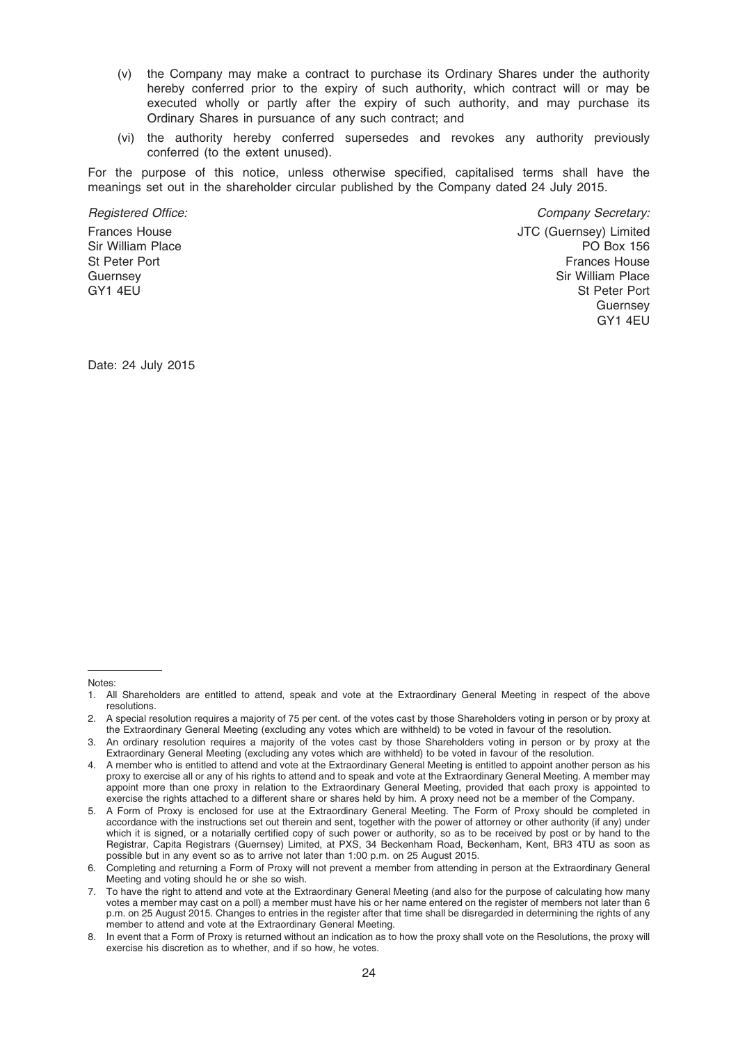- (v) the Company may make a contract to purchase its Ordinary Shares under the authority hereby conferred prior to the expiry of such authority, which contract will or may be executed wholly or partly after the expiry of such authority, and may purchase its Ordinary Shares in pursuance of any such contract; and
- (vi) the authority hereby conferred supersedes and revokes any authority previously conferred (to the extent unused).

For the purpose of this notice, unless otherwise specified, capitalised terms shall have the meanings set out in the shareholder circular published by the Company dated 24 July 2015.

Registered Office:  $\blacksquare$  Company Secretary:

Frances House Sir William Place St Peter Port **Guernsey** GY1 4EU

JTC (Guernsey) Limited PO Box 156 Frances House Sir William Place St Peter Port **Guernsey** GY1 4EU

Date: 24 July 2015

#### Notes:

<sup>1.</sup> All Shareholders are entitled to attend, speak and vote at the Extraordinary General Meeting in respect of the above resolutions.

<sup>2.</sup> A special resolution requires a majority of 75 per cent. of the votes cast by those Shareholders voting in person or by proxy at the Extraordinary General Meeting (excluding any votes which are withheld) to be voted in favour of the resolution.

<sup>3.</sup> An ordinary resolution requires a majority of the votes cast by those Shareholders voting in person or by proxy at the Extraordinary General Meeting (excluding any votes which are withheld) to be voted in favour of the resolution.

<sup>4.</sup> A member who is entitled to attend and vote at the Extraordinary General Meeting is entitled to appoint another person as his proxy to exercise all or any of his rights to attend and to speak and vote at the Extraordinary General Meeting. A member may appoint more than one proxy in relation to the Extraordinary General Meeting, provided that each proxy is appointed to exercise the rights attached to a different share or shares held by him. A proxy need not be a member of the Company.

<sup>5.</sup> A Form of Proxy is enclosed for use at the Extraordinary General Meeting. The Form of Proxy should be completed in accordance with the instructions set out therein and sent, together with the power of attorney or other authority (if any) under which it is signed, or a notarially certified copy of such power or authority, so as to be received by post or by hand to the Registrar, Capita Registrars (Guernsey) Limited, at PXS, 34 Beckenham Road, Beckenham, Kent, BR3 4TU as soon as possible but in any event so as to arrive not later than 1:00 p.m. on 25 August 2015.

<sup>6.</sup> Completing and returning a Form of Proxy will not prevent a member from attending in person at the Extraordinary General Meeting and voting should he or she so wish.

<sup>7.</sup> To have the right to attend and vote at the Extraordinary General Meeting (and also for the purpose of calculating how many votes a member may cast on a poll) a member must have his or her name entered on the register of members not later than 6 p.m. on 25 August 2015. Changes to entries in the register after that time shall be disregarded in determining the rights of any member to attend and vote at the Extraordinary General Meeting.

<sup>8.</sup> In event that a Form of Proxy is returned without an indication as to how the proxy shall vote on the Resolutions, the proxy will exercise his discretion as to whether, and if so how, he votes.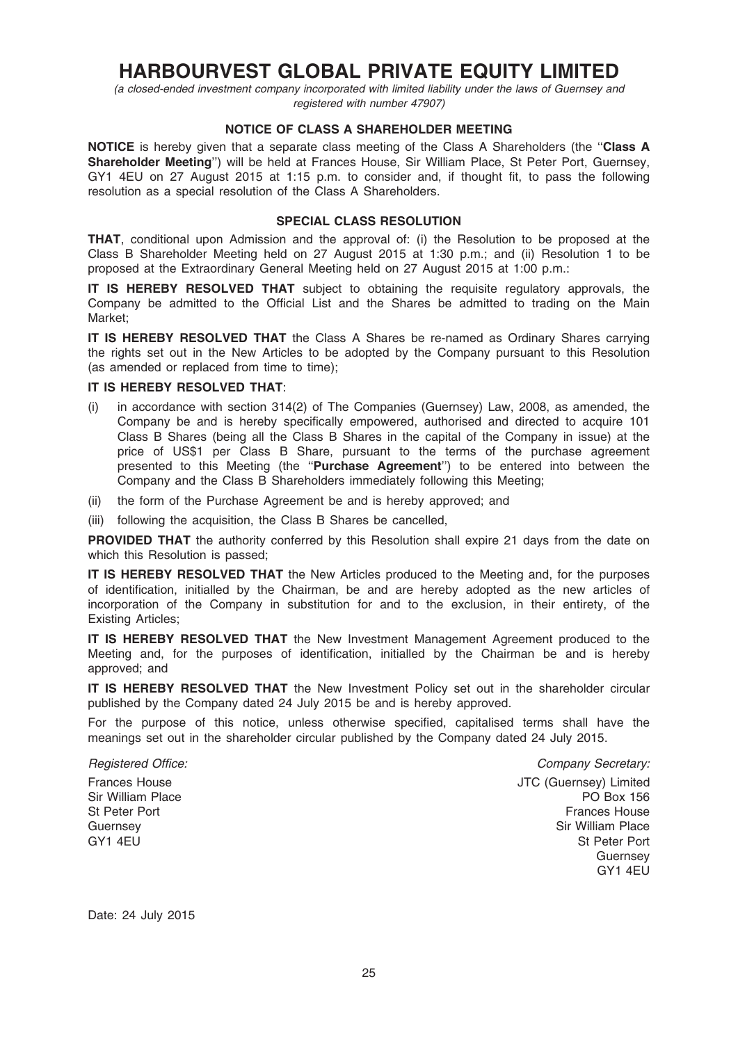# HARBOURVEST GLOBAL PRIVATE EQUITY LIMITED

(a closed-ended investment company incorporated with limited liability under the laws of Guernsey and registered with number 47907)

### NOTICE OF CLASS A SHAREHOLDER MEETING

NOTICE is hereby given that a separate class meeting of the Class A Shareholders (the "Class A Shareholder Meeting'') will be held at Frances House, Sir William Place, St Peter Port, Guernsey, GY1 4EU on 27 August 2015 at 1:15 p.m. to consider and, if thought fit, to pass the following resolution as a special resolution of the Class A Shareholders.

### SPECIAL CLASS RESOLUTION

THAT, conditional upon Admission and the approval of: (i) the Resolution to be proposed at the Class B Shareholder Meeting held on 27 August 2015 at 1:30 p.m.; and (ii) Resolution 1 to be proposed at the Extraordinary General Meeting held on 27 August 2015 at 1:00 p.m.:

IT IS HEREBY RESOLVED THAT subject to obtaining the requisite regulatory approvals, the Company be admitted to the Official List and the Shares be admitted to trading on the Main Market;

IT IS HEREBY RESOLVED THAT the Class A Shares be re-named as Ordinary Shares carrying the rights set out in the New Articles to be adopted by the Company pursuant to this Resolution (as amended or replaced from time to time);

### IT IS HEREBY RESOLVED THAT:

- (i) in accordance with section 314(2) of The Companies (Guernsey) Law, 2008, as amended, the Company be and is hereby specifically empowered, authorised and directed to acquire 101 Class B Shares (being all the Class B Shares in the capital of the Company in issue) at the price of US\$1 per Class B Share, pursuant to the terms of the purchase agreement presented to this Meeting (the "Purchase Agreement") to be entered into between the Company and the Class B Shareholders immediately following this Meeting;
- (ii) the form of the Purchase Agreement be and is hereby approved; and
- (iii) following the acquisition, the Class B Shares be cancelled,

**PROVIDED THAT** the authority conferred by this Resolution shall expire 21 days from the date on which this Resolution is passed;

IT IS HEREBY RESOLVED THAT the New Articles produced to the Meeting and, for the purposes of identification, initialled by the Chairman, be and are hereby adopted as the new articles of incorporation of the Company in substitution for and to the exclusion, in their entirety, of the Existing Articles;

IT IS HEREBY RESOLVED THAT the New Investment Management Agreement produced to the Meeting and, for the purposes of identification, initialled by the Chairman be and is hereby approved; and

IT IS HEREBY RESOLVED THAT the New Investment Policy set out in the shareholder circular published by the Company dated 24 July 2015 be and is hereby approved.

For the purpose of this notice, unless otherwise specified, capitalised terms shall have the meanings set out in the shareholder circular published by the Company dated 24 July 2015.

Frances House Sir William Place St Peter Port **Guernsey** GY1 4EU

Registered Office:  $\blacksquare$  Company Secretary: JTC (Guernsey) Limited PO Box 156 Frances House Sir William Place St Peter Port **Guernsey** GY1 4EU

Date: 24 July 2015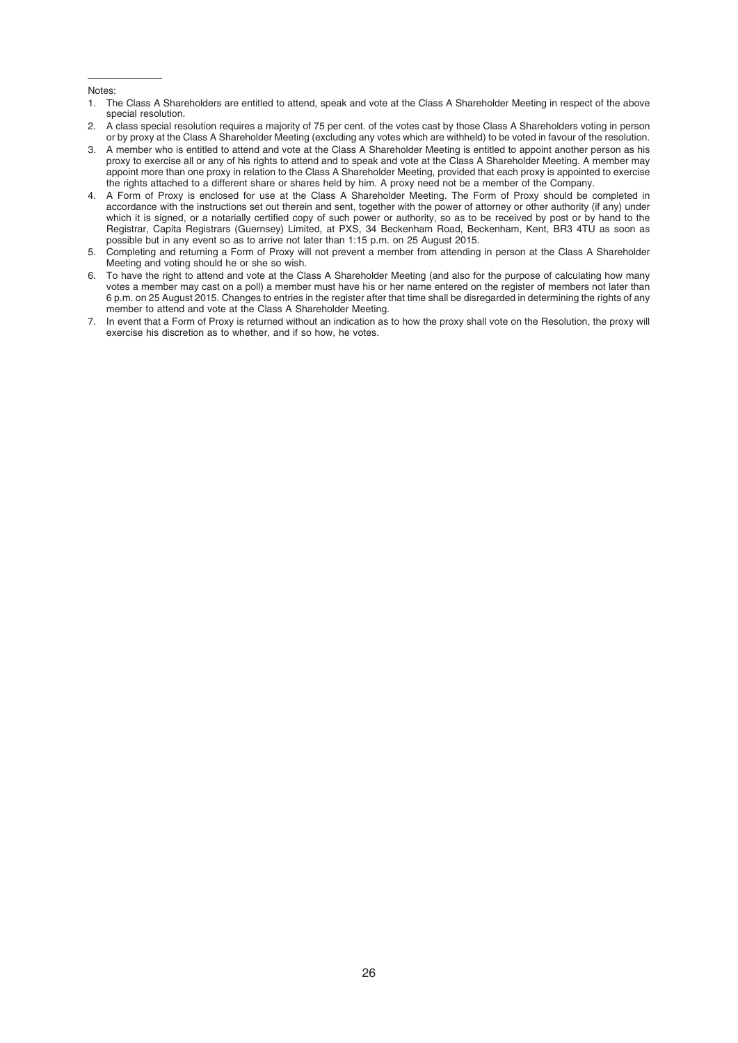#### Notes:

- 1. The Class A Shareholders are entitled to attend, speak and vote at the Class A Shareholder Meeting in respect of the above special resolution.
- 2. A class special resolution requires a majority of 75 per cent. of the votes cast by those Class A Shareholders voting in person or by proxy at the Class A Shareholder Meeting (excluding any votes which are withheld) to be voted in favour of the resolution.
- 3. A member who is entitled to attend and vote at the Class A Shareholder Meeting is entitled to appoint another person as his proxy to exercise all or any of his rights to attend and to speak and vote at the Class A Shareholder Meeting. A member may appoint more than one proxy in relation to the Class A Shareholder Meeting, provided that each proxy is appointed to exercise the rights attached to a different share or shares held by him. A proxy need not be a member of the Company.
- 4. A Form of Proxy is enclosed for use at the Class A Shareholder Meeting. The Form of Proxy should be completed in accordance with the instructions set out therein and sent, together with the power of attorney or other authority (if any) under which it is signed, or a notarially certified copy of such power or authority, so as to be received by post or by hand to the Registrar, Capita Registrars (Guernsey) Limited, at PXS, 34 Beckenham Road, Beckenham, Kent, BR3 4TU as soon as possible but in any event so as to arrive not later than 1:15 p.m. on 25 August 2015.
- 5. Completing and returning a Form of Proxy will not prevent a member from attending in person at the Class A Shareholder Meeting and voting should he or she so wish.
- 6. To have the right to attend and vote at the Class A Shareholder Meeting (and also for the purpose of calculating how many votes a member may cast on a poll) a member must have his or her name entered on the register of members not later than 6 p.m. on 25 August 2015. Changes to entries in the register after that time shall be disregarded in determining the rights of any member to attend and vote at the Class A Shareholder Meeting.
- 7. In event that a Form of Proxy is returned without an indication as to how the proxy shall vote on the Resolution, the proxy will exercise his discretion as to whether, and if so how, he votes.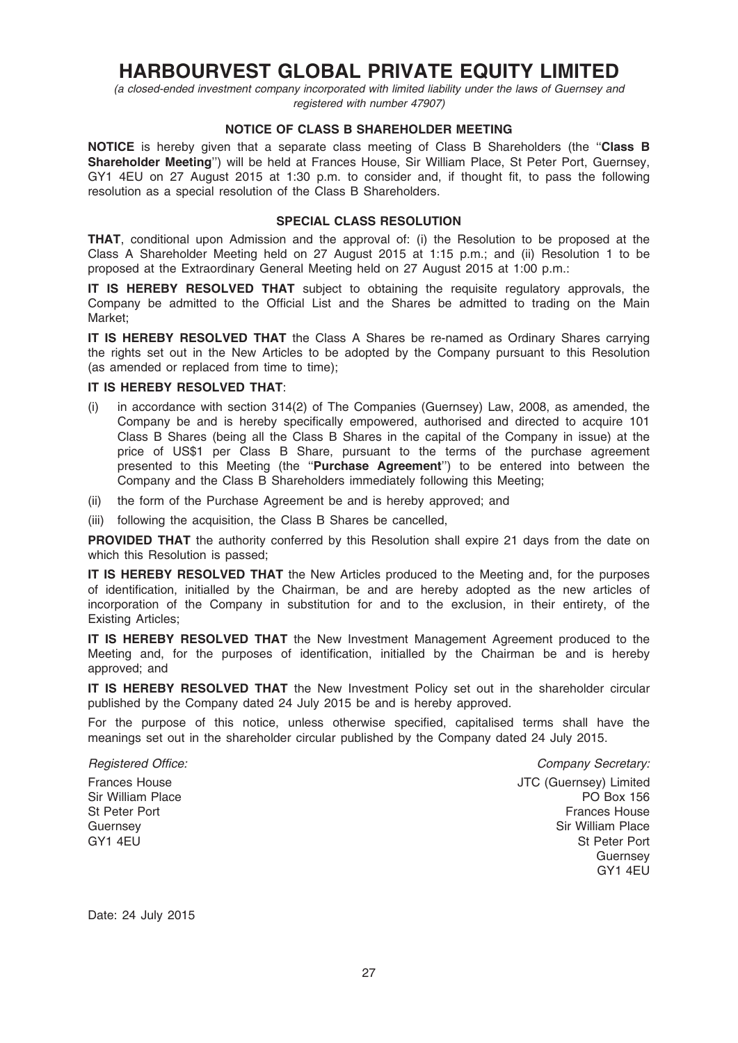# HARBOURVEST GLOBAL PRIVATE EQUITY LIMITED

(a closed-ended investment company incorporated with limited liability under the laws of Guernsey and registered with number 47907)

### NOTICE OF CLASS B SHAREHOLDER MEETING

NOTICE is hereby given that a separate class meeting of Class B Shareholders (the "Class B Shareholder Meeting'') will be held at Frances House, Sir William Place, St Peter Port, Guernsey, GY1 4EU on 27 August 2015 at 1:30 p.m. to consider and, if thought fit, to pass the following resolution as a special resolution of the Class B Shareholders.

### SPECIAL CLASS RESOLUTION

THAT, conditional upon Admission and the approval of: (i) the Resolution to be proposed at the Class A Shareholder Meeting held on 27 August 2015 at 1:15 p.m.; and (ii) Resolution 1 to be proposed at the Extraordinary General Meeting held on 27 August 2015 at 1:00 p.m.:

IT IS HEREBY RESOLVED THAT subject to obtaining the requisite regulatory approvals, the Company be admitted to the Official List and the Shares be admitted to trading on the Main Market;

IT IS HEREBY RESOLVED THAT the Class A Shares be re-named as Ordinary Shares carrying the rights set out in the New Articles to be adopted by the Company pursuant to this Resolution (as amended or replaced from time to time);

### IT IS HEREBY RESOLVED THAT:

- (i) in accordance with section 314(2) of The Companies (Guernsey) Law, 2008, as amended, the Company be and is hereby specifically empowered, authorised and directed to acquire 101 Class B Shares (being all the Class B Shares in the capital of the Company in issue) at the price of US\$1 per Class B Share, pursuant to the terms of the purchase agreement presented to this Meeting (the "Purchase Agreement") to be entered into between the Company and the Class B Shareholders immediately following this Meeting;
- (ii) the form of the Purchase Agreement be and is hereby approved; and
- (iii) following the acquisition, the Class B Shares be cancelled,

**PROVIDED THAT** the authority conferred by this Resolution shall expire 21 days from the date on which this Resolution is passed;

IT IS HEREBY RESOLVED THAT the New Articles produced to the Meeting and, for the purposes of identification, initialled by the Chairman, be and are hereby adopted as the new articles of incorporation of the Company in substitution for and to the exclusion, in their entirety, of the Existing Articles;

IT IS HEREBY RESOLVED THAT the New Investment Management Agreement produced to the Meeting and, for the purposes of identification, initialled by the Chairman be and is hereby approved; and

IT IS HEREBY RESOLVED THAT the New Investment Policy set out in the shareholder circular published by the Company dated 24 July 2015 be and is hereby approved.

For the purpose of this notice, unless otherwise specified, capitalised terms shall have the meanings set out in the shareholder circular published by the Company dated 24 July 2015.

Frances House Sir William Place St Peter Port **Guernsey** GY1 4EU

Registered Office:  $\blacksquare$  Company Secretary: JTC (Guernsey) Limited PO Box 156 Frances House Sir William Place St Peter Port **Guernsey** GY1 4EU

Date: 24 July 2015